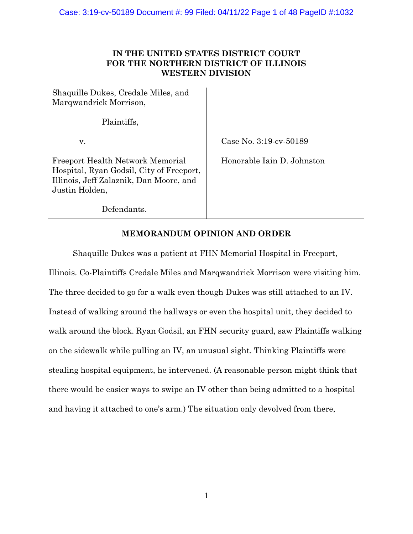# **IN THE UNITED STATES DISTRICT COURT FOR THE NORTHERN DISTRICT OF ILLINOIS WESTERN DIVISION**

Shaquille Dukes, Credale Miles, and Marqwandrick Morrison,

Plaintiffs,

v.

Case No. 3:19-cv-50189

Freeport Health Network Memorial Hospital, Ryan Godsil, City of Freeport, Illinois, Jeff Zalaznik, Dan Moore, and Justin Holden,

Honorable Iain D. Johnston

Defendants.

# **MEMORANDUM OPINION AND ORDER**

Shaquille Dukes was a patient at FHN Memorial Hospital in Freeport,

Illinois. Co-Plaintiffs Credale Miles and Marqwandrick Morrison were visiting him. The three decided to go for a walk even though Dukes was still attached to an IV. Instead of walking around the hallways or even the hospital unit, they decided to walk around the block. Ryan Godsil, an FHN security guard, saw Plaintiffs walking on the sidewalk while pulling an IV, an unusual sight. Thinking Plaintiffs were stealing hospital equipment, he intervened. (A reasonable person might think that there would be easier ways to swipe an IV other than being admitted to a hospital and having it attached to one's arm.) The situation only devolved from there,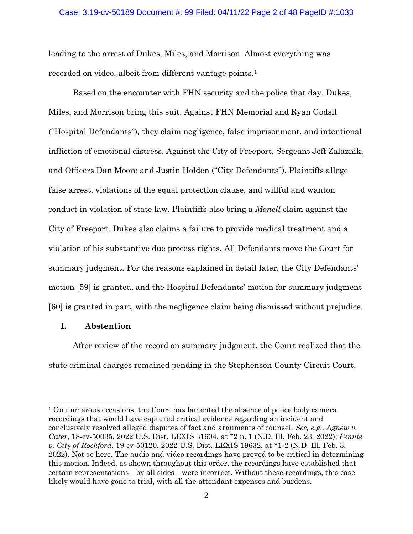### Case: 3:19-cv-50189 Document #: 99 Filed: 04/11/22 Page 2 of 48 PageID #:1033

leading to the arrest of Dukes, Miles, and Morrison. Almost everything was recorded on video, albeit from different vantage points.1

Based on the encounter with FHN security and the police that day, Dukes, Miles, and Morrison bring this suit. Against FHN Memorial and Ryan Godsil ("Hospital Defendants"), they claim negligence, false imprisonment, and intentional infliction of emotional distress. Against the City of Freeport, Sergeant Jeff Zalaznik, and Officers Dan Moore and Justin Holden ("City Defendants"), Plaintiffs allege false arrest, violations of the equal protection clause, and willful and wanton conduct in violation of state law. Plaintiffs also bring a *Monell* claim against the City of Freeport. Dukes also claims a failure to provide medical treatment and a violation of his substantive due process rights. All Defendants move the Court for summary judgment. For the reasons explained in detail later, the City Defendants' motion [59] is granted, and the Hospital Defendants' motion for summary judgment [60] is granted in part, with the negligence claim being dismissed without prejudice.

# **I. Abstention**

After review of the record on summary judgment, the Court realized that the state criminal charges remained pending in the Stephenson County Circuit Court.

<sup>1</sup> On numerous occasions, the Court has lamented the absence of police body camera recordings that would have captured critical evidence regarding an incident and conclusively resolved alleged disputes of fact and arguments of counsel. *See, e.g., Agnew v. Cater*, 18-cv-50035, 2022 U.S. Dist. LEXIS 31604, at \*2 n. 1 (N.D. Ill. Feb. 23, 2022); *Pennie v. City of Rockford*, 19-cv-50120, 2022 U.S. Dist. LEXIS 19632, at \*1-2 (N.D. Ill. Feb. 3, 2022). Not so here. The audio and video recordings have proved to be critical in determining this motion. Indeed, as shown throughout this order, the recordings have established that certain representations—by all sides—were incorrect. Without these recordings, this case likely would have gone to trial, with all the attendant expenses and burdens.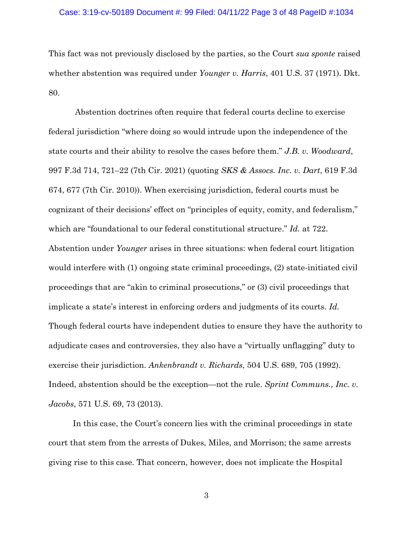#### Case: 3:19-cv-50189 Document #: 99 Filed: 04/11/22 Page 3 of 48 PageID #:1034

This fact was not previously disclosed by the parties, so the Court *sua sponte* raised whether abstention was required under *Younger v. Harris*, 401 U.S. 37 (1971). Dkt. 80.

Abstention doctrines often require that federal courts decline to exercise federal jurisdiction "where doing so would intrude upon the independence of the state courts and their ability to resolve the cases before them." *J.B. v. Woodward*, 997 F.3d 714, 721–22 (7th Cir. 2021) (quoting *SKS & Assocs. Inc. v. Dart*, 619 F.3d 674, 677 (7th Cir. 2010)). When exercising jurisdiction, federal courts must be cognizant of their decisions' effect on "principles of equity, comity, and federalism," which are "foundational to our federal constitutional structure." *Id.* at 722. Abstention under *Younger* arises in three situations: when federal court litigation would interfere with (1) ongoing state criminal proceedings, (2) state-initiated civil proceedings that are "akin to criminal prosecutions," or (3) civil proceedings that implicate a state's interest in enforcing orders and judgments of its courts. *Id.* Though federal courts have independent duties to ensure they have the authority to adjudicate cases and controversies, they also have a "virtually unflagging" duty to exercise their jurisdiction. *Ankenbrandt v. Richards*, 504 U.S. 689, 705 (1992). Indeed, abstention should be the exception—not the rule. *Sprint Communs., Inc. v. Jacobs*, 571 U.S. 69, 73 (2013).

In this case, the Court's concern lies with the criminal proceedings in state court that stem from the arrests of Dukes, Miles, and Morrison; the same arrests giving rise to this case. That concern, however, does not implicate the Hospital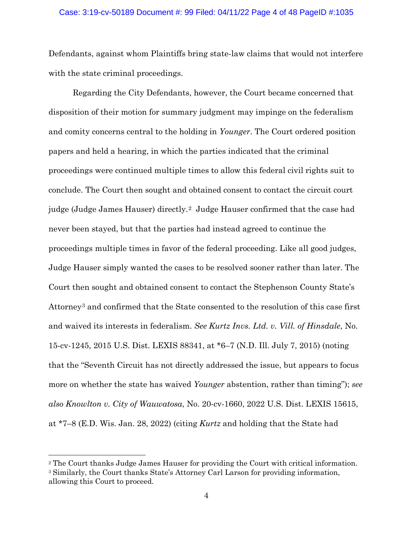### Case: 3:19-cv-50189 Document #: 99 Filed: 04/11/22 Page 4 of 48 PageID #:1035

Defendants, against whom Plaintiffs bring state-law claims that would not interfere with the state criminal proceedings.

Regarding the City Defendants, however, the Court became concerned that disposition of their motion for summary judgment may impinge on the federalism and comity concerns central to the holding in *Younger*. The Court ordered position papers and held a hearing, in which the parties indicated that the criminal proceedings were continued multiple times to allow this federal civil rights suit to conclude. The Court then sought and obtained consent to contact the circuit court judge (Judge James Hauser) directly.2 Judge Hauser confirmed that the case had never been stayed, but that the parties had instead agreed to continue the proceedings multiple times in favor of the federal proceeding. Like all good judges, Judge Hauser simply wanted the cases to be resolved sooner rather than later. The Court then sought and obtained consent to contact the Stephenson County State's Attorney3 and confirmed that the State consented to the resolution of this case first and waived its interests in federalism. *See Kurtz Invs. Ltd. v. Vill. of Hinsdale*, No. 15-cv-1245, 2015 U.S. Dist. LEXIS 88341, at \*6–7 (N.D. Ill. July 7, 2015) (noting that the "Seventh Circuit has not directly addressed the issue, but appears to focus more on whether the state has waived *Younger* abstention, rather than timing"); *see also Knowlton v. City of Wauwatosa*, No. 20-cv-1660, 2022 U.S. Dist. LEXIS 15615, at \*7–8 (E.D. Wis. Jan. 28, 2022) (citing *Kurtz* and holding that the State had

<sup>2</sup> The Court thanks Judge James Hauser for providing the Court with critical information.

<sup>3</sup> Similarly, the Court thanks State's Attorney Carl Larson for providing information, allowing this Court to proceed.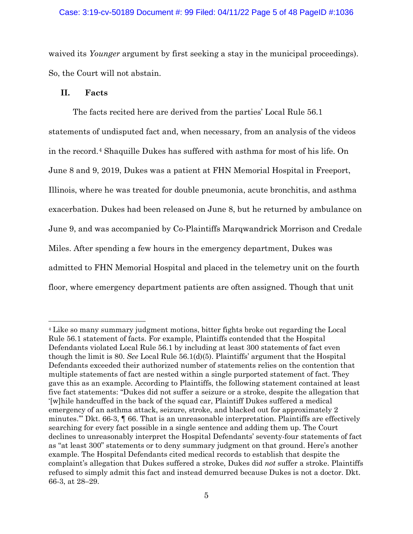#### Case: 3:19-cv-50189 Document #: 99 Filed: 04/11/22 Page 5 of 48 PageID #:1036

waived its *Younger* argument by first seeking a stay in the municipal proceedings). So, the Court will not abstain.

## **II. Facts**

The facts recited here are derived from the parties' Local Rule 56.1 statements of undisputed fact and, when necessary, from an analysis of the videos in the record.4 Shaquille Dukes has suffered with asthma for most of his life. On June 8 and 9, 2019, Dukes was a patient at FHN Memorial Hospital in Freeport, Illinois, where he was treated for double pneumonia, acute bronchitis, and asthma exacerbation. Dukes had been released on June 8, but he returned by ambulance on June 9, and was accompanied by Co-Plaintiffs Marqwandrick Morrison and Credale Miles. After spending a few hours in the emergency department, Dukes was admitted to FHN Memorial Hospital and placed in the telemetry unit on the fourth floor, where emergency department patients are often assigned. Though that unit

<sup>4</sup> Like so many summary judgment motions, bitter fights broke out regarding the Local Rule 56.1 statement of facts. For example, Plaintiffs contended that the Hospital Defendants violated Local Rule 56.1 by including at least 300 statements of fact even though the limit is 80. *See* Local Rule 56.1(d)(5). Plaintiffs' argument that the Hospital Defendants exceeded their authorized number of statements relies on the contention that multiple statements of fact are nested within a single purported statement of fact. They gave this as an example. According to Plaintiffs, the following statement contained at least five fact statements: "Dukes did not suffer a seizure or a stroke, despite the allegation that '[w]hile handcuffed in the back of the squad car, Plaintiff Dukes suffered a medical emergency of an asthma attack, seizure, stroke, and blacked out for approximately 2 minutes.'" Dkt. 66-3, ¶ 66. That is an unreasonable interpretation. Plaintiffs are effectively searching for every fact possible in a single sentence and adding them up. The Court declines to unreasonably interpret the Hospital Defendants' seventy-four statements of fact as "at least 300" statements or to deny summary judgment on that ground. Here's another example. The Hospital Defendants cited medical records to establish that despite the complaint's allegation that Dukes suffered a stroke, Dukes did *not* suffer a stroke. Plaintiffs refused to simply admit this fact and instead demurred because Dukes is not a doctor. Dkt. 66-3, at 28–29.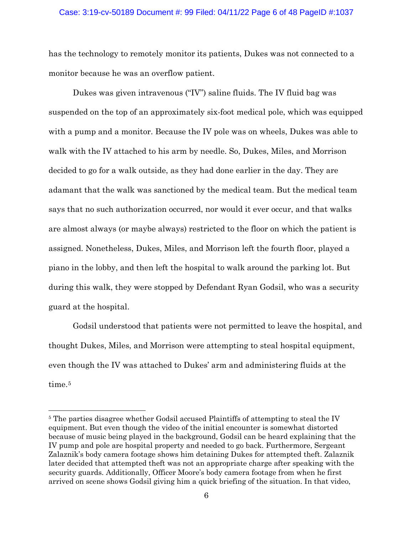## Case: 3:19-cv-50189 Document #: 99 Filed: 04/11/22 Page 6 of 48 PageID #:1037

has the technology to remotely monitor its patients, Dukes was not connected to a monitor because he was an overflow patient.

Dukes was given intravenous ("IV") saline fluids. The IV fluid bag was suspended on the top of an approximately six-foot medical pole, which was equipped with a pump and a monitor. Because the IV pole was on wheels, Dukes was able to walk with the IV attached to his arm by needle. So, Dukes, Miles, and Morrison decided to go for a walk outside, as they had done earlier in the day. They are adamant that the walk was sanctioned by the medical team. But the medical team says that no such authorization occurred, nor would it ever occur, and that walks are almost always (or maybe always) restricted to the floor on which the patient is assigned. Nonetheless, Dukes, Miles, and Morrison left the fourth floor, played a piano in the lobby, and then left the hospital to walk around the parking lot. But during this walk, they were stopped by Defendant Ryan Godsil, who was a security guard at the hospital.

Godsil understood that patients were not permitted to leave the hospital, and thought Dukes, Miles, and Morrison were attempting to steal hospital equipment, even though the IV was attached to Dukes' arm and administering fluids at the time.<sup>5</sup>

<sup>&</sup>lt;sup>5</sup> The parties disagree whether Godsil accused Plaintiffs of attempting to steal the IV equipment. But even though the video of the initial encounter is somewhat distorted because of music being played in the background, Godsil can be heard explaining that the IV pump and pole are hospital property and needed to go back. Furthermore, Sergeant Zalaznik's body camera footage shows him detaining Dukes for attempted theft. Zalaznik later decided that attempted theft was not an appropriate charge after speaking with the security guards. Additionally, Officer Moore's body camera footage from when he first arrived on scene shows Godsil giving him a quick briefing of the situation. In that video,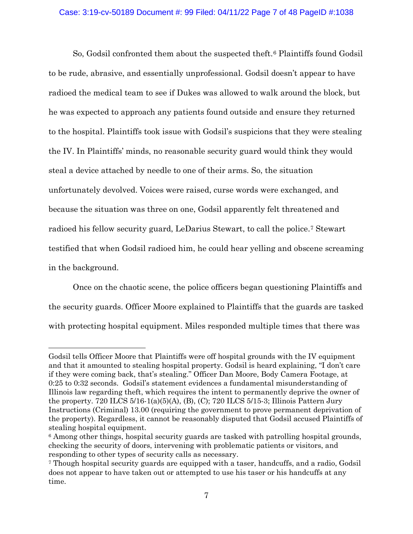## Case: 3:19-cv-50189 Document #: 99 Filed: 04/11/22 Page 7 of 48 PageID #:1038

So, Godsil confronted them about the suspected theft.6 Plaintiffs found Godsil to be rude, abrasive, and essentially unprofessional. Godsil doesn't appear to have radioed the medical team to see if Dukes was allowed to walk around the block, but he was expected to approach any patients found outside and ensure they returned to the hospital. Plaintiffs took issue with Godsil's suspicions that they were stealing the IV. In Plaintiffs' minds, no reasonable security guard would think they would steal a device attached by needle to one of their arms. So, the situation unfortunately devolved. Voices were raised, curse words were exchanged, and because the situation was three on one, Godsil apparently felt threatened and radioed his fellow security guard, LeDarius Stewart, to call the police.7 Stewart testified that when Godsil radioed him, he could hear yelling and obscene screaming in the background.

Once on the chaotic scene, the police officers began questioning Plaintiffs and the security guards. Officer Moore explained to Plaintiffs that the guards are tasked with protecting hospital equipment. Miles responded multiple times that there was

Godsil tells Officer Moore that Plaintiffs were off hospital grounds with the IV equipment and that it amounted to stealing hospital property. Godsil is heard explaining, "I don't care if they were coming back, that's stealing." Officer Dan Moore, Body Camera Footage, at 0:25 to 0:32 seconds. Godsil's statement evidences a fundamental misunderstanding of Illinois law regarding theft, which requires the intent to permanently deprive the owner of the property. 720 ILCS 5/16-1(a)(5)(A), (B), (C); 720 ILCS 5/15-3; Illinois Pattern Jury Instructions (Criminal) 13.00 (requiring the government to prove permanent deprivation of the property). Regardless, it cannot be reasonably disputed that Godsil accused Plaintiffs of stealing hospital equipment.

<sup>6</sup> Among other things, hospital security guards are tasked with patrolling hospital grounds, checking the security of doors, intervening with problematic patients or visitors, and responding to other types of security calls as necessary.

<sup>7</sup> Though hospital security guards are equipped with a taser, handcuffs, and a radio, Godsil does not appear to have taken out or attempted to use his taser or his handcuffs at any time.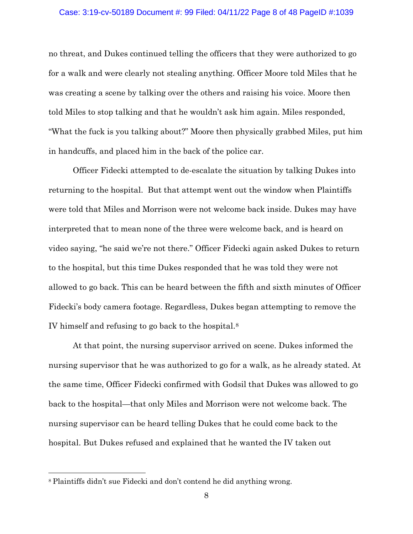#### Case: 3:19-cv-50189 Document #: 99 Filed: 04/11/22 Page 8 of 48 PageID #:1039

no threat, and Dukes continued telling the officers that they were authorized to go for a walk and were clearly not stealing anything. Officer Moore told Miles that he was creating a scene by talking over the others and raising his voice. Moore then told Miles to stop talking and that he wouldn't ask him again. Miles responded, "What the fuck is you talking about?" Moore then physically grabbed Miles, put him in handcuffs, and placed him in the back of the police car.

Officer Fidecki attempted to de-escalate the situation by talking Dukes into returning to the hospital. But that attempt went out the window when Plaintiffs were told that Miles and Morrison were not welcome back inside. Dukes may have interpreted that to mean none of the three were welcome back, and is heard on video saying, "he said we're not there." Officer Fidecki again asked Dukes to return to the hospital, but this time Dukes responded that he was told they were not allowed to go back. This can be heard between the fifth and sixth minutes of Officer Fidecki's body camera footage. Regardless, Dukes began attempting to remove the IV himself and refusing to go back to the hospital.8

At that point, the nursing supervisor arrived on scene. Dukes informed the nursing supervisor that he was authorized to go for a walk, as he already stated. At the same time, Officer Fidecki confirmed with Godsil that Dukes was allowed to go back to the hospital—that only Miles and Morrison were not welcome back. The nursing supervisor can be heard telling Dukes that he could come back to the hospital. But Dukes refused and explained that he wanted the IV taken out

<sup>8</sup> Plaintiffs didn't sue Fidecki and don't contend he did anything wrong.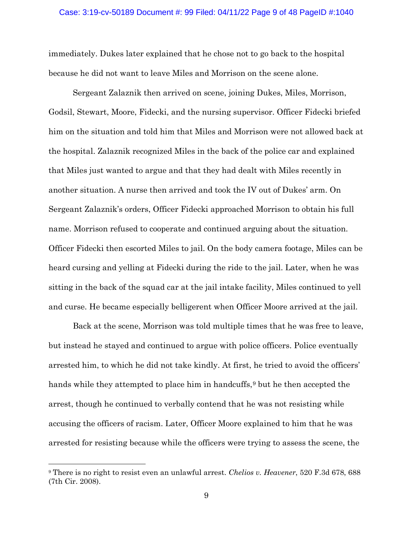#### Case: 3:19-cv-50189 Document #: 99 Filed: 04/11/22 Page 9 of 48 PageID #:1040

immediately. Dukes later explained that he chose not to go back to the hospital because he did not want to leave Miles and Morrison on the scene alone.

Sergeant Zalaznik then arrived on scene, joining Dukes, Miles, Morrison, Godsil, Stewart, Moore, Fidecki, and the nursing supervisor. Officer Fidecki briefed him on the situation and told him that Miles and Morrison were not allowed back at the hospital. Zalaznik recognized Miles in the back of the police car and explained that Miles just wanted to argue and that they had dealt with Miles recently in another situation. A nurse then arrived and took the IV out of Dukes' arm. On Sergeant Zalaznik's orders, Officer Fidecki approached Morrison to obtain his full name. Morrison refused to cooperate and continued arguing about the situation. Officer Fidecki then escorted Miles to jail. On the body camera footage, Miles can be heard cursing and yelling at Fidecki during the ride to the jail. Later, when he was sitting in the back of the squad car at the jail intake facility, Miles continued to yell and curse. He became especially belligerent when Officer Moore arrived at the jail.

Back at the scene, Morrison was told multiple times that he was free to leave, but instead he stayed and continued to argue with police officers. Police eventually arrested him, to which he did not take kindly. At first, he tried to avoid the officers' hands while they attempted to place him in handcuffs,<sup>9</sup> but he then accepted the arrest, though he continued to verbally contend that he was not resisting while accusing the officers of racism. Later, Officer Moore explained to him that he was arrested for resisting because while the officers were trying to assess the scene, the

<sup>9</sup> There is no right to resist even an unlawful arrest. *Chelios v. Heavener*, 520 F.3d 678, 688 (7th Cir. 2008).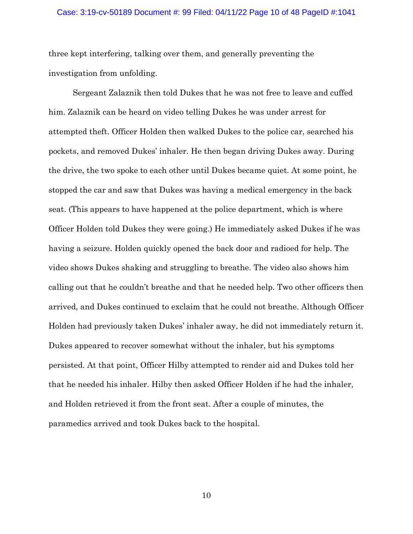#### Case: 3:19-cv-50189 Document #: 99 Filed: 04/11/22 Page 10 of 48 PageID #:1041

three kept interfering, talking over them, and generally preventing the investigation from unfolding.

Sergeant Zalaznik then told Dukes that he was not free to leave and cuffed him. Zalaznik can be heard on video telling Dukes he was under arrest for attempted theft. Officer Holden then walked Dukes to the police car, searched his pockets, and removed Dukes' inhaler. He then began driving Dukes away. During the drive, the two spoke to each other until Dukes became quiet. At some point, he stopped the car and saw that Dukes was having a medical emergency in the back seat. (This appears to have happened at the police department, which is where Officer Holden told Dukes they were going.) He immediately asked Dukes if he was having a seizure. Holden quickly opened the back door and radioed for help. The video shows Dukes shaking and struggling to breathe. The video also shows him calling out that he couldn't breathe and that he needed help. Two other officers then arrived, and Dukes continued to exclaim that he could not breathe. Although Officer Holden had previously taken Dukes' inhaler away, he did not immediately return it. Dukes appeared to recover somewhat without the inhaler, but his symptoms persisted. At that point, Officer Hilby attempted to render aid and Dukes told her that he needed his inhaler. Hilby then asked Officer Holden if he had the inhaler, and Holden retrieved it from the front seat. After a couple of minutes, the paramedics arrived and took Dukes back to the hospital.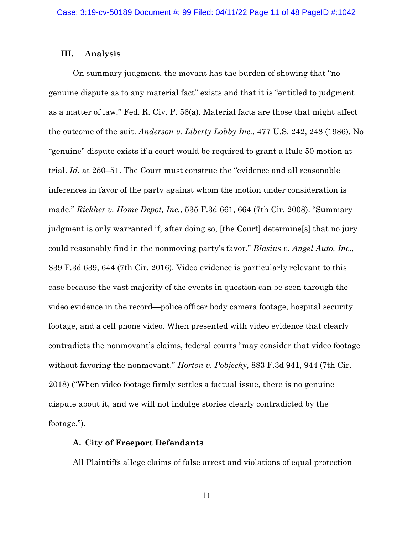### **III. Analysis**

On summary judgment, the movant has the burden of showing that "no genuine dispute as to any material fact" exists and that it is "entitled to judgment as a matter of law." Fed. R. Civ. P. 56(a). Material facts are those that might affect the outcome of the suit. *Anderson v. Liberty Lobby Inc.*, 477 U.S. 242, 248 (1986). No "genuine" dispute exists if a court would be required to grant a Rule 50 motion at trial. *Id.* at 250–51. The Court must construe the "evidence and all reasonable inferences in favor of the party against whom the motion under consideration is made." *Rickher v. Home Depot, Inc.*, 535 F.3d 661, 664 (7th Cir. 2008). "Summary judgment is only warranted if, after doing so, [the Court] determine[s] that no jury could reasonably find in the nonmoving party's favor." *Blasius v. Angel Auto, Inc.*, 839 F.3d 639, 644 (7th Cir. 2016). Video evidence is particularly relevant to this case because the vast majority of the events in question can be seen through the video evidence in the record—police officer body camera footage, hospital security footage, and a cell phone video. When presented with video evidence that clearly contradicts the nonmovant's claims, federal courts "may consider that video footage without favoring the nonmovant." *Horton v. Pobjecky*, 883 F.3d 941, 944 (7th Cir. 2018) ("When video footage firmly settles a factual issue, there is no genuine dispute about it, and we will not indulge stories clearly contradicted by the footage.").

## **A. City of Freeport Defendants**

All Plaintiffs allege claims of false arrest and violations of equal protection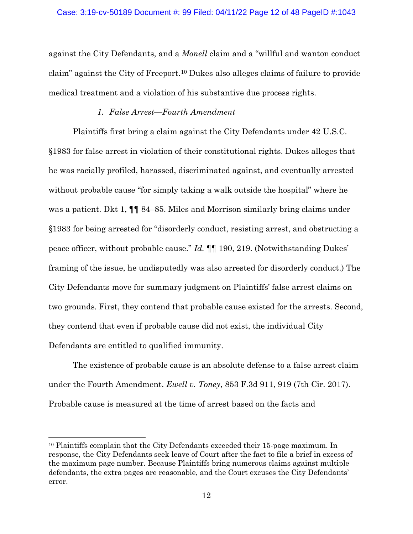#### Case: 3:19-cv-50189 Document #: 99 Filed: 04/11/22 Page 12 of 48 PageID #:1043

against the City Defendants, and a *Monell* claim and a "willful and wanton conduct claim" against the City of Freeport.10 Dukes also alleges claims of failure to provide medical treatment and a violation of his substantive due process rights.

# *1. False Arrest—Fourth Amendment*

Plaintiffs first bring a claim against the City Defendants under 42 U.S.C. §1983 for false arrest in violation of their constitutional rights. Dukes alleges that he was racially profiled, harassed, discriminated against, and eventually arrested without probable cause "for simply taking a walk outside the hospital" where he was a patient. Dkt 1, ¶¶ 84–85. Miles and Morrison similarly bring claims under §1983 for being arrested for "disorderly conduct, resisting arrest, and obstructing a peace officer, without probable cause." *Id.* ¶¶ 190, 219. (Notwithstanding Dukes' framing of the issue, he undisputedly was also arrested for disorderly conduct.) The City Defendants move for summary judgment on Plaintiffs' false arrest claims on two grounds. First, they contend that probable cause existed for the arrests. Second, they contend that even if probable cause did not exist, the individual City Defendants are entitled to qualified immunity.

The existence of probable cause is an absolute defense to a false arrest claim under the Fourth Amendment. *Ewell v. Toney*, 853 F.3d 911, 919 (7th Cir. 2017). Probable cause is measured at the time of arrest based on the facts and

<sup>10</sup> Plaintiffs complain that the City Defendants exceeded their 15-page maximum. In response, the City Defendants seek leave of Court after the fact to file a brief in excess of the maximum page number. Because Plaintiffs bring numerous claims against multiple defendants, the extra pages are reasonable, and the Court excuses the City Defendants' error.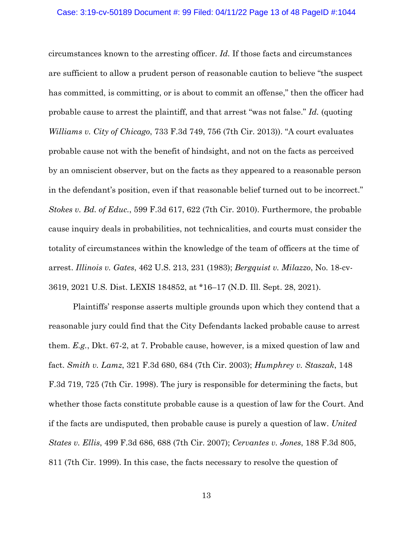#### Case: 3:19-cv-50189 Document #: 99 Filed: 04/11/22 Page 13 of 48 PageID #:1044

circumstances known to the arresting officer. *Id.* If those facts and circumstances are sufficient to allow a prudent person of reasonable caution to believe "the suspect has committed, is committing, or is about to commit an offense," then the officer had probable cause to arrest the plaintiff, and that arrest "was not false." *Id.* (quoting *Williams v. City of Chicago*, 733 F.3d 749, 756 (7th Cir. 2013)). "A court evaluates probable cause not with the benefit of hindsight, and not on the facts as perceived by an omniscient observer, but on the facts as they appeared to a reasonable person in the defendant's position, even if that reasonable belief turned out to be incorrect." *Stokes v. Bd. of Educ.*, 599 F.3d 617, 622 (7th Cir. 2010). Furthermore, the probable cause inquiry deals in probabilities, not technicalities, and courts must consider the totality of circumstances within the knowledge of the team of officers at the time of arrest. *Illinois v. Gates*, 462 U.S. 213, 231 (1983); *Bergquist v. Milazzo*, No. 18-cv-3619, 2021 U.S. Dist. LEXIS 184852, at \*16–17 (N.D. Ill. Sept. 28, 2021).

Plaintiffs' response asserts multiple grounds upon which they contend that a reasonable jury could find that the City Defendants lacked probable cause to arrest them. *E.g.*, Dkt. 67-2, at 7. Probable cause, however, is a mixed question of law and fact. *Smith v. Lamz*, 321 F.3d 680, 684 (7th Cir. 2003); *Humphrey v. Staszak*, 148 F.3d 719, 725 (7th Cir. 1998). The jury is responsible for determining the facts, but whether those facts constitute probable cause is a question of law for the Court. And if the facts are undisputed, then probable cause is purely a question of law. *United States v. Ellis*, 499 F.3d 686, 688 (7th Cir. 2007); *Cervantes v. Jones*, 188 F.3d 805, 811 (7th Cir. 1999). In this case, the facts necessary to resolve the question of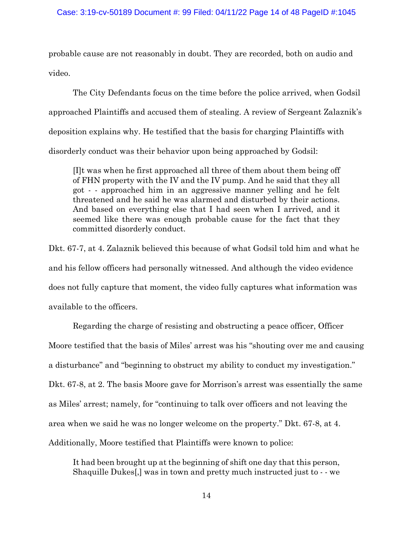probable cause are not reasonably in doubt. They are recorded, both on audio and video.

The City Defendants focus on the time before the police arrived, when Godsil approached Plaintiffs and accused them of stealing. A review of Sergeant Zalaznik's deposition explains why. He testified that the basis for charging Plaintiffs with disorderly conduct was their behavior upon being approached by Godsil:

[I]t was when he first approached all three of them about them being off of FHN property with the IV and the IV pump. And he said that they all got - - approached him in an aggressive manner yelling and he felt threatened and he said he was alarmed and disturbed by their actions. And based on everything else that I had seen when I arrived, and it seemed like there was enough probable cause for the fact that they committed disorderly conduct.

Dkt. 67-7, at 4. Zalaznik believed this because of what Godsil told him and what he and his fellow officers had personally witnessed. And although the video evidence does not fully capture that moment, the video fully captures what information was available to the officers.

Regarding the charge of resisting and obstructing a peace officer, Officer Moore testified that the basis of Miles' arrest was his "shouting over me and causing a disturbance" and "beginning to obstruct my ability to conduct my investigation." Dkt. 67-8, at 2. The basis Moore gave for Morrison's arrest was essentially the same as Miles' arrest; namely, for "continuing to talk over officers and not leaving the area when we said he was no longer welcome on the property." Dkt. 67-8, at 4. Additionally, Moore testified that Plaintiffs were known to police:

It had been brought up at the beginning of shift one day that this person, Shaquille Dukes[,] was in town and pretty much instructed just to - - we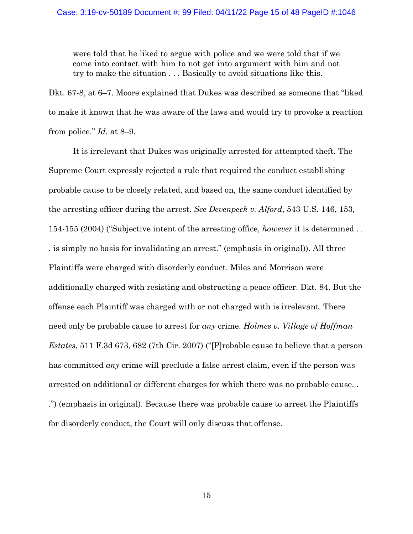were told that he liked to argue with police and we were told that if we come into contact with him to not get into argument with him and not try to make the situation . . . Basically to avoid situations like this.

Dkt. 67-8, at 6–7. Moore explained that Dukes was described as someone that "liked to make it known that he was aware of the laws and would try to provoke a reaction from police." *Id.* at 8–9.

It is irrelevant that Dukes was originally arrested for attempted theft. The Supreme Court expressly rejected a rule that required the conduct establishing probable cause to be closely related, and based on, the same conduct identified by the arresting officer during the arrest. *See Devenpeck v. Alford*, 543 U.S. 146, 153, 154-155 (2004) ("Subjective intent of the arresting office, *however* it is determined . . . is simply no basis for invalidating an arrest." (emphasis in original)). All three Plaintiffs were charged with disorderly conduct. Miles and Morrison were additionally charged with resisting and obstructing a peace officer. Dkt. 84. But the offense each Plaintiff was charged with or not charged with is irrelevant. There need only be probable cause to arrest for *any* crime. *Holmes v. Village of Hoffman Estates*, 511 F.3d 673, 682 (7th Cir. 2007) ("[P]robable cause to believe that a person has committed *any* crime will preclude a false arrest claim, even if the person was arrested on additional or different charges for which there was no probable cause. . .") (emphasis in original). Because there was probable cause to arrest the Plaintiffs for disorderly conduct, the Court will only discuss that offense.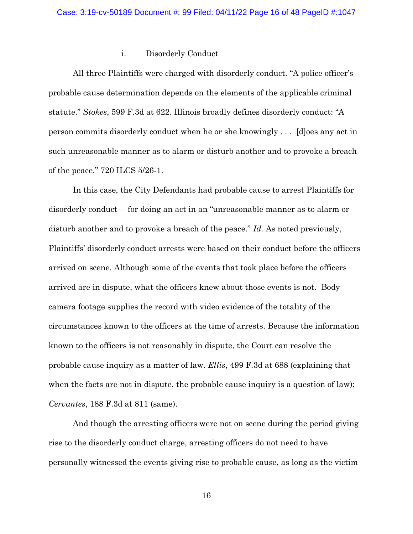### i. Disorderly Conduct

All three Plaintiffs were charged with disorderly conduct. "A police officer's probable cause determination depends on the elements of the applicable criminal statute." *Stokes*, 599 F.3d at 622. Illinois broadly defines disorderly conduct: "A person commits disorderly conduct when he or she knowingly . . . [d]oes any act in such unreasonable manner as to alarm or disturb another and to provoke a breach of the peace." 720 ILCS 5/26-1.

In this case, the City Defendants had probable cause to arrest Plaintiffs for disorderly conduct— for doing an act in an "unreasonable manner as to alarm or disturb another and to provoke a breach of the peace." *Id.* As noted previously, Plaintiffs' disorderly conduct arrests were based on their conduct before the officers arrived on scene. Although some of the events that took place before the officers arrived are in dispute, what the officers knew about those events is not. Body camera footage supplies the record with video evidence of the totality of the circumstances known to the officers at the time of arrests. Because the information known to the officers is not reasonably in dispute, the Court can resolve the probable cause inquiry as a matter of law. *Ellis*, 499 F.3d at 688 (explaining that when the facts are not in dispute, the probable cause inquiry is a question of law); *Cervantes*, 188 F.3d at 811 (same).

And though the arresting officers were not on scene during the period giving rise to the disorderly conduct charge, arresting officers do not need to have personally witnessed the events giving rise to probable cause, as long as the victim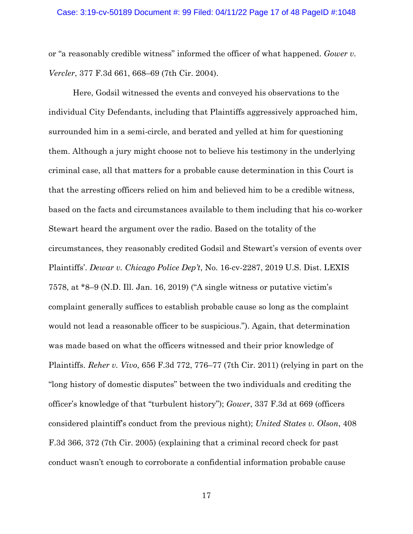or "a reasonably credible witness" informed the officer of what happened. *Gower v. Vercler*, 377 F.3d 661, 668–69 (7th Cir. 2004).

Here, Godsil witnessed the events and conveyed his observations to the individual City Defendants, including that Plaintiffs aggressively approached him, surrounded him in a semi-circle, and berated and yelled at him for questioning them. Although a jury might choose not to believe his testimony in the underlying criminal case, all that matters for a probable cause determination in this Court is that the arresting officers relied on him and believed him to be a credible witness, based on the facts and circumstances available to them including that his co-worker Stewart heard the argument over the radio. Based on the totality of the circumstances, they reasonably credited Godsil and Stewart's version of events over Plaintiffs'. *Dewar v. Chicago Police Dep't*, No. 16-cv-2287, 2019 U.S. Dist. LEXIS 7578, at \*8–9 (N.D. Ill. Jan. 16, 2019) ("A single witness or putative victim's complaint generally suffices to establish probable cause so long as the complaint would not lead a reasonable officer to be suspicious."). Again, that determination was made based on what the officers witnessed and their prior knowledge of Plaintiffs. *Reher v. Vivo*, 656 F.3d 772, 776–77 (7th Cir. 2011) (relying in part on the "long history of domestic disputes" between the two individuals and crediting the officer's knowledge of that "turbulent history"); *Gower*, 337 F.3d at 669 (officers considered plaintiff's conduct from the previous night); *United States v. Olson*, 408 F.3d 366, 372 (7th Cir. 2005) (explaining that a criminal record check for past conduct wasn't enough to corroborate a confidential information probable cause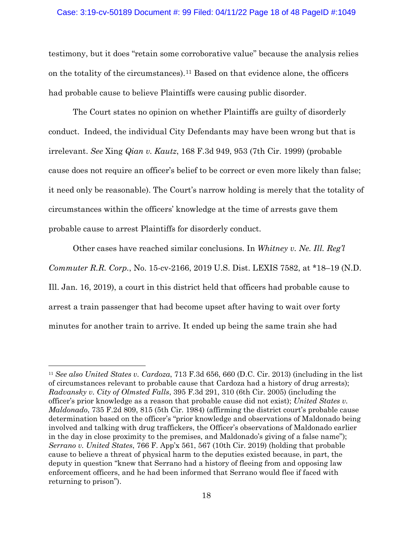#### Case: 3:19-cv-50189 Document #: 99 Filed: 04/11/22 Page 18 of 48 PageID #:1049

testimony, but it does "retain some corroborative value" because the analysis relies on the totality of the circumstances).11 Based on that evidence alone, the officers had probable cause to believe Plaintiffs were causing public disorder.

The Court states no opinion on whether Plaintiffs are guilty of disorderly conduct. Indeed, the individual City Defendants may have been wrong but that is irrelevant. *See* Xing *Qian v. Kautz*, 168 F.3d 949, 953 (7th Cir. 1999) (probable cause does not require an officer's belief to be correct or even more likely than false; it need only be reasonable). The Court's narrow holding is merely that the totality of circumstances within the officers' knowledge at the time of arrests gave them probable cause to arrest Plaintiffs for disorderly conduct.

Other cases have reached similar conclusions. In *Whitney v. Ne. Ill. Reg'l Commuter R.R. Corp.*, No. 15-cv-2166, 2019 U.S. Dist. LEXIS 7582, at \*18–19 (N.D. Ill. Jan. 16, 2019), a court in this district held that officers had probable cause to arrest a train passenger that had become upset after having to wait over forty minutes for another train to arrive. It ended up being the same train she had

<sup>11</sup> *See also United States v. Cardoza*, 713 F.3d 656, 660 (D.C. Cir. 2013) (including in the list of circumstances relevant to probable cause that Cardoza had a history of drug arrests); *Radvansky v. City of Olmsted Falls*, 395 F.3d 291, 310 (6th Cir. 2005) (including the officer's prior knowledge as a reason that probable cause did not exist); *United States v. Maldonado*, 735 F.2d 809, 815 (5th Cir. 1984) (affirming the district court's probable cause determination based on the officer's "prior knowledge and observations of Maldonado being involved and talking with drug traffickers, the Officer's observations of Maldonado earlier in the day in close proximity to the premises, and Maldonado's giving of a false name"); *Serrano v. United States*, 766 F. App'x 561, 567 (10th Cir. 2019) (holding that probable cause to believe a threat of physical harm to the deputies existed because, in part, the deputy in question "knew that Serrano had a history of fleeing from and opposing law enforcement officers, and he had been informed that Serrano would flee if faced with returning to prison").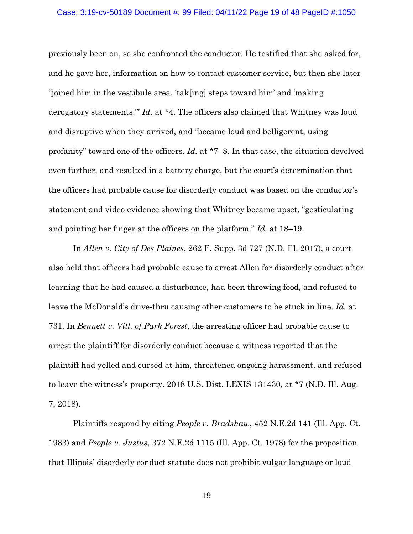#### Case: 3:19-cv-50189 Document #: 99 Filed: 04/11/22 Page 19 of 48 PageID #:1050

previously been on, so she confronted the conductor. He testified that she asked for, and he gave her, information on how to contact customer service, but then she later "joined him in the vestibule area, 'tak[ing] steps toward him' and 'making derogatory statements.'" *Id.* at \*4. The officers also claimed that Whitney was loud and disruptive when they arrived, and "became loud and belligerent, using profanity" toward one of the officers. *Id.* at \*7–8. In that case, the situation devolved even further, and resulted in a battery charge, but the court's determination that the officers had probable cause for disorderly conduct was based on the conductor's statement and video evidence showing that Whitney became upset, "gesticulating and pointing her finger at the officers on the platform." *Id.* at 18–19.

In *Allen v. City of Des Plaines*, 262 F. Supp. 3d 727 (N.D. Ill. 2017), a court also held that officers had probable cause to arrest Allen for disorderly conduct after learning that he had caused a disturbance, had been throwing food, and refused to leave the McDonald's drive-thru causing other customers to be stuck in line. *Id.* at 731. In *Bennett v. Vill. of Park Forest*, the arresting officer had probable cause to arrest the plaintiff for disorderly conduct because a witness reported that the plaintiff had yelled and cursed at him, threatened ongoing harassment, and refused to leave the witness's property. 2018 U.S. Dist. LEXIS 131430, at \*7 (N.D. Ill. Aug. 7, 2018).

Plaintiffs respond by citing *People v. Bradshaw*, 452 N.E.2d 141 (Ill. App. Ct. 1983) and *People v. Justus*, 372 N.E.2d 1115 (Ill. App. Ct. 1978) for the proposition that Illinois' disorderly conduct statute does not prohibit vulgar language or loud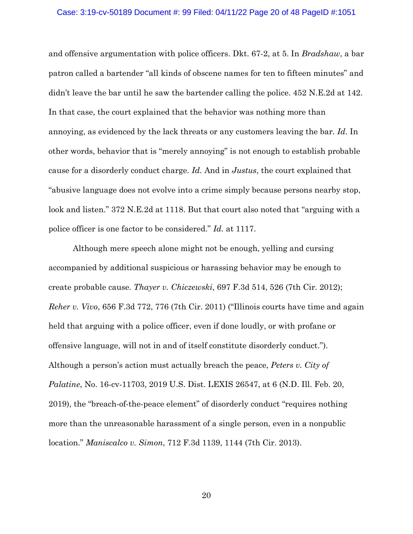#### Case: 3:19-cv-50189 Document #: 99 Filed: 04/11/22 Page 20 of 48 PageID #:1051

and offensive argumentation with police officers. Dkt. 67-2, at 5. In *Bradshaw*, a bar patron called a bartender "all kinds of obscene names for ten to fifteen minutes" and didn't leave the bar until he saw the bartender calling the police. 452 N.E.2d at 142. In that case, the court explained that the behavior was nothing more than annoying, as evidenced by the lack threats or any customers leaving the bar. *Id.* In other words, behavior that is "merely annoying" is not enough to establish probable cause for a disorderly conduct charge. *Id.* And in *Justus*, the court explained that "abusive language does not evolve into a crime simply because persons nearby stop, look and listen." 372 N.E.2d at 1118. But that court also noted that "arguing with a police officer is one factor to be considered." *Id.* at 1117.

Although mere speech alone might not be enough, yelling and cursing accompanied by additional suspicious or harassing behavior may be enough to create probable cause. *Thayer v. Chiczewski*, 697 F.3d 514, 526 (7th Cir. 2012); *Reher v. Vivo*, 656 F.3d 772, 776 (7th Cir. 2011) ("Illinois courts have time and again held that arguing with a police officer, even if done loudly, or with profane or offensive language, will not in and of itself constitute disorderly conduct."). Although a person's action must actually breach the peace, *Peters v. City of Palatine*, No. 16-cv-11703, 2019 U.S. Dist. LEXIS 26547, at 6 (N.D. Ill. Feb. 20, 2019), the "breach-of-the-peace element" of disorderly conduct "requires nothing more than the unreasonable harassment of a single person, even in a nonpublic location." *Maniscalco v. Simon*, 712 F.3d 1139, 1144 (7th Cir. 2013).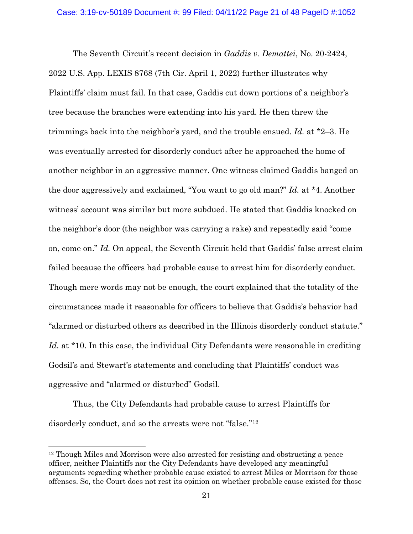The Seventh Circuit's recent decision in *Gaddis v. Demattei*, No. 20-2424, 2022 U.S. App. LEXIS 8768 (7th Cir. April 1, 2022) further illustrates why Plaintiffs' claim must fail. In that case, Gaddis cut down portions of a neighbor's tree because the branches were extending into his yard. He then threw the trimmings back into the neighbor's yard, and the trouble ensued. *Id.* at \*2–3. He was eventually arrested for disorderly conduct after he approached the home of another neighbor in an aggressive manner. One witness claimed Gaddis banged on the door aggressively and exclaimed, "You want to go old man?" *Id.* at \*4. Another witness' account was similar but more subdued. He stated that Gaddis knocked on the neighbor's door (the neighbor was carrying a rake) and repeatedly said "come on, come on." *Id.* On appeal, the Seventh Circuit held that Gaddis' false arrest claim failed because the officers had probable cause to arrest him for disorderly conduct. Though mere words may not be enough, the court explained that the totality of the circumstances made it reasonable for officers to believe that Gaddis's behavior had "alarmed or disturbed others as described in the Illinois disorderly conduct statute." Id. at \*10. In this case, the individual City Defendants were reasonable in crediting Godsil's and Stewart's statements and concluding that Plaintiffs' conduct was aggressive and "alarmed or disturbed" Godsil.

Thus, the City Defendants had probable cause to arrest Plaintiffs for disorderly conduct, and so the arrests were not "false."12

<sup>12</sup> Though Miles and Morrison were also arrested for resisting and obstructing a peace officer, neither Plaintiffs nor the City Defendants have developed any meaningful arguments regarding whether probable cause existed to arrest Miles or Morrison for those offenses. So, the Court does not rest its opinion on whether probable cause existed for those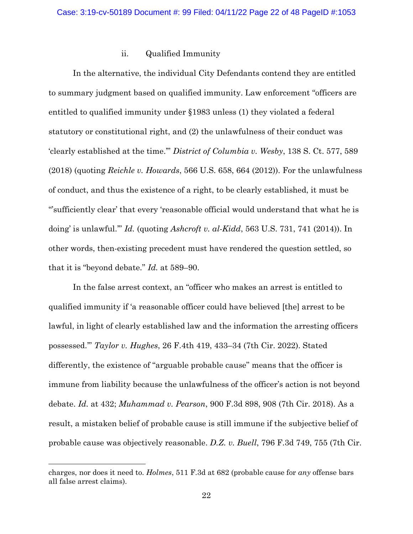## ii. Qualified Immunity

In the alternative, the individual City Defendants contend they are entitled to summary judgment based on qualified immunity. Law enforcement "officers are entitled to qualified immunity under §1983 unless (1) they violated a federal statutory or constitutional right, and (2) the unlawfulness of their conduct was 'clearly established at the time.'" *District of Columbia v. Wesby*, 138 S. Ct. 577, 589 (2018) (quoting *Reichle v. Howards*, 566 U.S. 658, 664 (2012)). For the unlawfulness of conduct, and thus the existence of a right, to be clearly established, it must be "'sufficiently clear' that every 'reasonable official would understand that what he is doing' is unlawful.'" *Id.* (quoting *Ashcroft v. al-Kidd*, 563 U.S. 731, 741 (2014)). In other words, then-existing precedent must have rendered the question settled, so that it is "beyond debate." *Id.* at 589–90.

In the false arrest context, an "officer who makes an arrest is entitled to qualified immunity if 'a reasonable officer could have believed [the] arrest to be lawful, in light of clearly established law and the information the arresting officers possessed.'" *Taylor v. Hughes*, 26 F.4th 419, 433–34 (7th Cir. 2022). Stated differently, the existence of "arguable probable cause" means that the officer is immune from liability because the unlawfulness of the officer's action is not beyond debate. *Id.* at 432; *Muhammad v. Pearson*, 900 F.3d 898, 908 (7th Cir. 2018). As a result, a mistaken belief of probable cause is still immune if the subjective belief of probable cause was objectively reasonable. *D.Z. v. Buell*, 796 F.3d 749, 755 (7th Cir.

charges, nor does it need to. *Holmes*, 511 F.3d at 682 (probable cause for *any* offense bars all false arrest claims).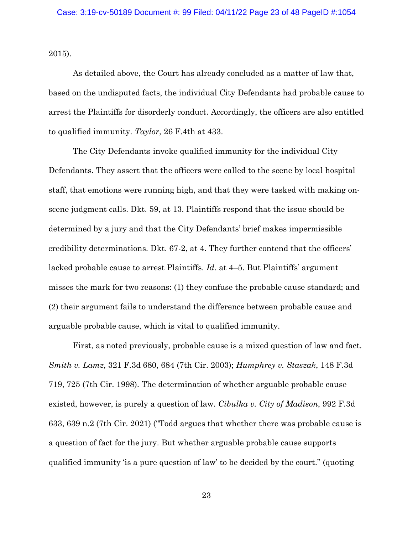2015).

As detailed above, the Court has already concluded as a matter of law that, based on the undisputed facts, the individual City Defendants had probable cause to arrest the Plaintiffs for disorderly conduct. Accordingly, the officers are also entitled to qualified immunity. *Taylor*, 26 F.4th at 433.

The City Defendants invoke qualified immunity for the individual City Defendants. They assert that the officers were called to the scene by local hospital staff, that emotions were running high, and that they were tasked with making onscene judgment calls. Dkt. 59, at 13. Plaintiffs respond that the issue should be determined by a jury and that the City Defendants' brief makes impermissible credibility determinations. Dkt. 67-2, at 4. They further contend that the officers' lacked probable cause to arrest Plaintiffs. *Id.* at 4–5. But Plaintiffs' argument misses the mark for two reasons: (1) they confuse the probable cause standard; and (2) their argument fails to understand the difference between probable cause and arguable probable cause, which is vital to qualified immunity.

First, as noted previously, probable cause is a mixed question of law and fact. *Smith v. Lamz*, 321 F.3d 680, 684 (7th Cir. 2003); *Humphrey v. Staszak*, 148 F.3d 719, 725 (7th Cir. 1998). The determination of whether arguable probable cause existed, however, is purely a question of law. *Cibulka v. City of Madison*, 992 F.3d 633, 639 n.2 (7th Cir. 2021) ("Todd argues that whether there was probable cause is a question of fact for the jury. But whether arguable probable cause supports qualified immunity 'is a pure question of law' to be decided by the court." (quoting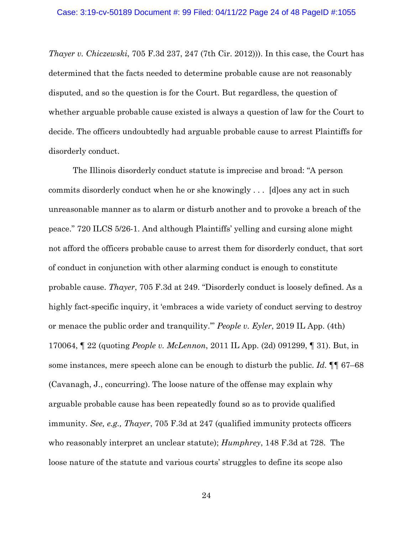*Thayer v. Chiczewski*, 705 F.3d 237, 247 (7th Cir. 2012))). In this case, the Court has determined that the facts needed to determine probable cause are not reasonably disputed, and so the question is for the Court. But regardless, the question of whether arguable probable cause existed is always a question of law for the Court to decide. The officers undoubtedly had arguable probable cause to arrest Plaintiffs for disorderly conduct.

The Illinois disorderly conduct statute is imprecise and broad: "A person commits disorderly conduct when he or she knowingly . . . [d]oes any act in such unreasonable manner as to alarm or disturb another and to provoke a breach of the peace." 720 ILCS 5/26-1. And although Plaintiffs' yelling and cursing alone might not afford the officers probable cause to arrest them for disorderly conduct, that sort of conduct in conjunction with other alarming conduct is enough to constitute probable cause. *Thayer*, 705 F.3d at 249. "Disorderly conduct is loosely defined. As a highly fact-specific inquiry, it 'embraces a wide variety of conduct serving to destroy or menace the public order and tranquility.'" *People v. Eyler*, 2019 IL App. (4th) 170064, ¶ 22 (quoting *People v. McLennon*, 2011 IL App. (2d) 091299, ¶ 31). But, in some instances, mere speech alone can be enough to disturb the public. *Id.*  $\P$  67–68 (Cavanagh, J., concurring). The loose nature of the offense may explain why arguable probable cause has been repeatedly found so as to provide qualified immunity. *See, e.g., Thayer*, 705 F.3d at 247 (qualified immunity protects officers who reasonably interpret an unclear statute); *Humphrey*, 148 F.3d at 728. The loose nature of the statute and various courts' struggles to define its scope also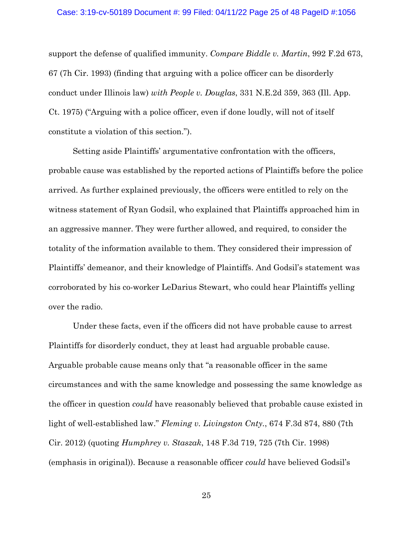#### Case: 3:19-cv-50189 Document #: 99 Filed: 04/11/22 Page 25 of 48 PageID #:1056

support the defense of qualified immunity. *Compare Biddle v. Martin*, 992 F.2d 673, 67 (7h Cir. 1993) (finding that arguing with a police officer can be disorderly conduct under Illinois law) *with People v. Douglas*, 331 N.E.2d 359, 363 (Ill. App. Ct. 1975) ("Arguing with a police officer, even if done loudly, will not of itself constitute a violation of this section.").

Setting aside Plaintiffs' argumentative confrontation with the officers, probable cause was established by the reported actions of Plaintiffs before the police arrived. As further explained previously, the officers were entitled to rely on the witness statement of Ryan Godsil, who explained that Plaintiffs approached him in an aggressive manner. They were further allowed, and required, to consider the totality of the information available to them. They considered their impression of Plaintiffs' demeanor, and their knowledge of Plaintiffs. And Godsil's statement was corroborated by his co-worker LeDarius Stewart, who could hear Plaintiffs yelling over the radio.

Under these facts, even if the officers did not have probable cause to arrest Plaintiffs for disorderly conduct, they at least had arguable probable cause. Arguable probable cause means only that "a reasonable officer in the same circumstances and with the same knowledge and possessing the same knowledge as the officer in question *could* have reasonably believed that probable cause existed in light of well-established law." *Fleming v. Livingston Cnty.*, 674 F.3d 874, 880 (7th Cir. 2012) (quoting *Humphrey v. Staszak*, 148 F.3d 719, 725 (7th Cir. 1998) (emphasis in original)). Because a reasonable officer *could* have believed Godsil's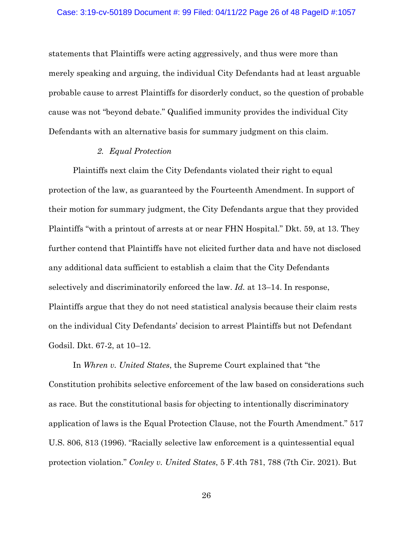statements that Plaintiffs were acting aggressively, and thus were more than merely speaking and arguing, the individual City Defendants had at least arguable probable cause to arrest Plaintiffs for disorderly conduct, so the question of probable cause was not "beyond debate." Qualified immunity provides the individual City Defendants with an alternative basis for summary judgment on this claim.

#### *2. Equal Protection*

Plaintiffs next claim the City Defendants violated their right to equal protection of the law, as guaranteed by the Fourteenth Amendment. In support of their motion for summary judgment, the City Defendants argue that they provided Plaintiffs "with a printout of arrests at or near FHN Hospital." Dkt. 59, at 13. They further contend that Plaintiffs have not elicited further data and have not disclosed any additional data sufficient to establish a claim that the City Defendants selectively and discriminatorily enforced the law. *Id.* at 13–14. In response, Plaintiffs argue that they do not need statistical analysis because their claim rests on the individual City Defendants' decision to arrest Plaintiffs but not Defendant Godsil. Dkt. 67-2, at 10–12.

In *Whren v. United States*, the Supreme Court explained that "the Constitution prohibits selective enforcement of the law based on considerations such as race. But the constitutional basis for objecting to intentionally discriminatory application of laws is the Equal Protection Clause, not the Fourth Amendment." 517 U.S. 806, 813 (1996). "Racially selective law enforcement is a quintessential equal protection violation." *Conley v. United States*, 5 F.4th 781, 788 (7th Cir. 2021). But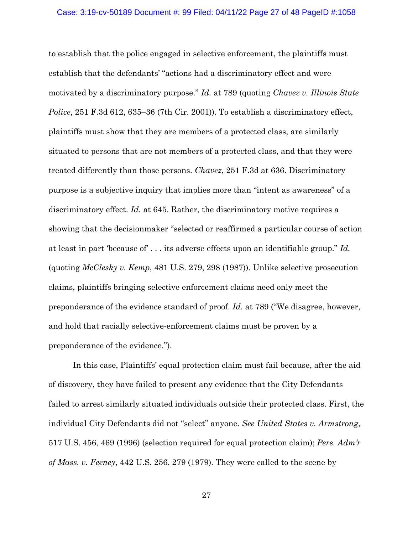to establish that the police engaged in selective enforcement, the plaintiffs must establish that the defendants' "actions had a discriminatory effect and were motivated by a discriminatory purpose." *Id.* at 789 (quoting *Chavez v. Illinois State Police*, 251 F.3d 612, 635–36 (7th Cir. 2001)). To establish a discriminatory effect, plaintiffs must show that they are members of a protected class, are similarly situated to persons that are not members of a protected class, and that they were treated differently than those persons. *Chavez*, 251 F.3d at 636. Discriminatory purpose is a subjective inquiry that implies more than "intent as awareness" of a discriminatory effect. *Id.* at 645. Rather, the discriminatory motive requires a showing that the decisionmaker "selected or reaffirmed a particular course of action at least in part 'because of' . . . its adverse effects upon an identifiable group." *Id.* (quoting *McClesky v. Kemp*, 481 U.S. 279, 298 (1987)). Unlike selective prosecution claims, plaintiffs bringing selective enforcement claims need only meet the preponderance of the evidence standard of proof. *Id.* at 789 ("We disagree, however, and hold that racially selective-enforcement claims must be proven by a preponderance of the evidence.").

In this case, Plaintiffs' equal protection claim must fail because, after the aid of discovery, they have failed to present any evidence that the City Defendants failed to arrest similarly situated individuals outside their protected class. First, the individual City Defendants did not "select" anyone. *See United States v. Armstrong*, 517 U.S. 456, 469 (1996) (selection required for equal protection claim); *Pers. Adm'r of Mass. v. Feeney*, 442 U.S. 256, 279 (1979). They were called to the scene by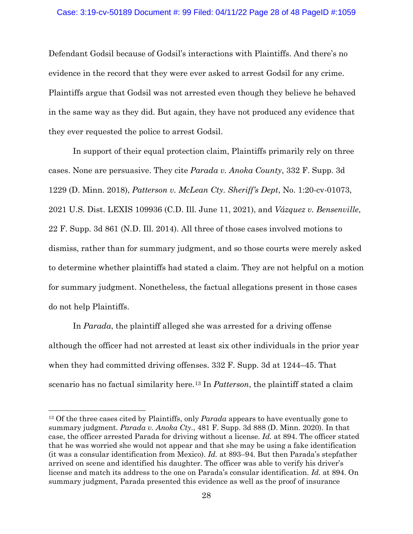#### Case: 3:19-cv-50189 Document #: 99 Filed: 04/11/22 Page 28 of 48 PageID #:1059

Defendant Godsil because of Godsil's interactions with Plaintiffs. And there's no evidence in the record that they were ever asked to arrest Godsil for any crime. Plaintiffs argue that Godsil was not arrested even though they believe he behaved in the same way as they did. But again, they have not produced any evidence that they ever requested the police to arrest Godsil.

In support of their equal protection claim, Plaintiffs primarily rely on three cases. None are persuasive. They cite *Parada v. Anoka County*, 332 F. Supp. 3d 1229 (D. Minn. 2018), *Patterson v. McLean Cty. Sheriff's Dept*, No. 1:20-cv-01073, 2021 U.S. Dist. LEXIS 109936 (C.D. Ill. June 11, 2021), and *Vázquez v. Bensenville*, 22 F. Supp. 3d 861 (N.D. Ill. 2014). All three of those cases involved motions to dismiss, rather than for summary judgment, and so those courts were merely asked to determine whether plaintiffs had stated a claim. They are not helpful on a motion for summary judgment. Nonetheless, the factual allegations present in those cases do not help Plaintiffs.

In *Parada*, the plaintiff alleged she was arrested for a driving offense although the officer had not arrested at least six other individuals in the prior year when they had committed driving offenses. 332 F. Supp. 3d at 1244–45. That scenario has no factual similarity here.13 In *Patterson*, the plaintiff stated a claim

<sup>13</sup> Of the three cases cited by Plaintiffs, only *Parada* appears to have eventually gone to summary judgment. *Parada v. Anoka Cty.*, 481 F. Supp. 3d 888 (D. Minn. 2020). In that case, the officer arrested Parada for driving without a license. *Id.* at 894. The officer stated that he was worried she would not appear and that she may be using a fake identification (it was a consular identification from Mexico). *Id.* at 893–94. But then Parada's stepfather arrived on scene and identified his daughter. The officer was able to verify his driver's license and match its address to the one on Parada's consular identification. *Id.* at 894. On summary judgment, Parada presented this evidence as well as the proof of insurance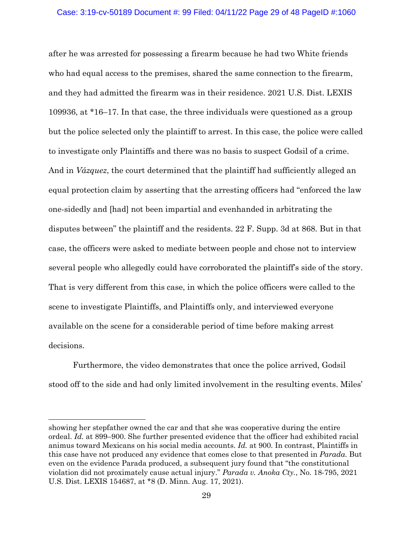after he was arrested for possessing a firearm because he had two White friends who had equal access to the premises, shared the same connection to the firearm, and they had admitted the firearm was in their residence. 2021 U.S. Dist. LEXIS 109936, at \*16–17. In that case, the three individuals were questioned as a group but the police selected only the plaintiff to arrest. In this case, the police were called to investigate only Plaintiffs and there was no basis to suspect Godsil of a crime. And in *Vázquez*, the court determined that the plaintiff had sufficiently alleged an equal protection claim by asserting that the arresting officers had "enforced the law one-sidedly and [had] not been impartial and evenhanded in arbitrating the disputes between" the plaintiff and the residents. 22 F. Supp. 3d at 868. But in that case, the officers were asked to mediate between people and chose not to interview several people who allegedly could have corroborated the plaintiff's side of the story. That is very different from this case, in which the police officers were called to the scene to investigate Plaintiffs, and Plaintiffs only, and interviewed everyone available on the scene for a considerable period of time before making arrest decisions.

Furthermore, the video demonstrates that once the police arrived, Godsil stood off to the side and had only limited involvement in the resulting events. Miles'

showing her stepfather owned the car and that she was cooperative during the entire ordeal. *Id.* at 899–900. She further presented evidence that the officer had exhibited racial animus toward Mexicans on his social media accounts. *Id.* at 900. In contrast, Plaintiffs in this case have not produced any evidence that comes close to that presented in *Parada*. But even on the evidence Parada produced, a subsequent jury found that "the constitutional violation did not proximately cause actual injury." *Parada v. Anoka Cty.*, No. 18-795, 2021 U.S. Dist. LEXIS 154687, at \*8 (D. Minn. Aug. 17, 2021).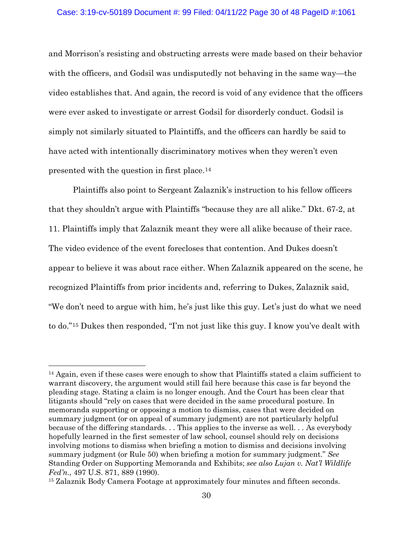#### Case: 3:19-cv-50189 Document #: 99 Filed: 04/11/22 Page 30 of 48 PageID #:1061

and Morrison's resisting and obstructing arrests were made based on their behavior with the officers, and Godsil was undisputedly not behaving in the same way—the video establishes that. And again, the record is void of any evidence that the officers were ever asked to investigate or arrest Godsil for disorderly conduct. Godsil is simply not similarly situated to Plaintiffs, and the officers can hardly be said to have acted with intentionally discriminatory motives when they weren't even presented with the question in first place.14

Plaintiffs also point to Sergeant Zalaznik's instruction to his fellow officers that they shouldn't argue with Plaintiffs "because they are all alike." Dkt. 67-2, at 11. Plaintiffs imply that Zalaznik meant they were all alike because of their race. The video evidence of the event forecloses that contention. And Dukes doesn't appear to believe it was about race either. When Zalaznik appeared on the scene, he recognized Plaintiffs from prior incidents and, referring to Dukes, Zalaznik said, "We don't need to argue with him, he's just like this guy. Let's just do what we need to do."15 Dukes then responded, "I'm not just like this guy. I know you've dealt with

<sup>&</sup>lt;sup>14</sup> Again, even if these cases were enough to show that Plaintiffs stated a claim sufficient to warrant discovery, the argument would still fail here because this case is far beyond the pleading stage. Stating a claim is no longer enough. And the Court has been clear that litigants should "rely on cases that were decided in the same procedural posture. In memoranda supporting or opposing a motion to dismiss, cases that were decided on summary judgment (or on appeal of summary judgment) are not particularly helpful because of the differing standards. . . This applies to the inverse as well. . . As everybody hopefully learned in the first semester of law school, counsel should rely on decisions involving motions to dismiss when briefing a motion to dismiss and decisions involving summary judgment (or Rule 50) when briefing a motion for summary judgment." *See* Standing Order on Supporting Memoranda and Exhibits; *see also Lujan v. Nat'l Wildlife Fed'n.*, 497 U.S. 871, 889 (1990).

<sup>&</sup>lt;sup>15</sup> Zalaznik Body Camera Footage at approximately four minutes and fifteen seconds.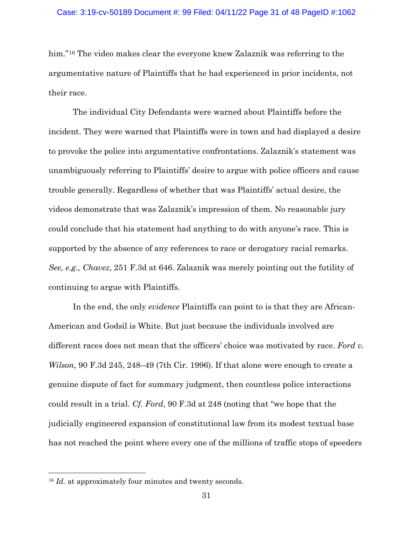him."<sup>16</sup> The video makes clear the everyone knew Zalaznik was referring to the argumentative nature of Plaintiffs that he had experienced in prior incidents, not their race.

The individual City Defendants were warned about Plaintiffs before the incident. They were warned that Plaintiffs were in town and had displayed a desire to provoke the police into argumentative confrontations. Zalaznik's statement was unambiguously referring to Plaintiffs' desire to argue with police officers and cause trouble generally. Regardless of whether that was Plaintiffs' actual desire, the videos demonstrate that was Zalaznik's impression of them. No reasonable jury could conclude that his statement had anything to do with anyone's race. This is supported by the absence of any references to race or derogatory racial remarks. *See, e.g., Chavez*, 251 F.3d at 646. Zalaznik was merely pointing out the futility of continuing to argue with Plaintiffs.

In the end, the only *evidence* Plaintiffs can point to is that they are African-American and Godsil is White. But just because the individuals involved are different races does not mean that the officers' choice was motivated by race. *Ford v. Wilson*, 90 F.3d 245, 248–49 (7th Cir. 1996). If that alone were enough to create a genuine dispute of fact for summary judgment, then countless police interactions could result in a trial. *Cf. Ford*, 90 F.3d at 248 (noting that "we hope that the judicially engineered expansion of constitutional law from its modest textual base has not reached the point where every one of the millions of traffic stops of speeders

<sup>&</sup>lt;sup>16</sup> *Id.* at approximately four minutes and twenty seconds.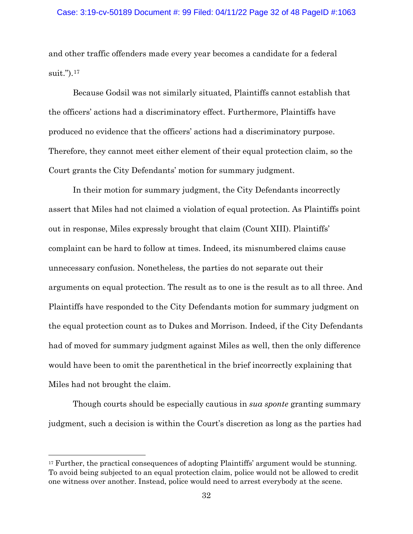and other traffic offenders made every year becomes a candidate for a federal suit.").17

Because Godsil was not similarly situated, Plaintiffs cannot establish that the officers' actions had a discriminatory effect. Furthermore, Plaintiffs have produced no evidence that the officers' actions had a discriminatory purpose. Therefore, they cannot meet either element of their equal protection claim, so the Court grants the City Defendants' motion for summary judgment.

In their motion for summary judgment, the City Defendants incorrectly assert that Miles had not claimed a violation of equal protection. As Plaintiffs point out in response, Miles expressly brought that claim (Count XIII). Plaintiffs' complaint can be hard to follow at times. Indeed, its misnumbered claims cause unnecessary confusion. Nonetheless, the parties do not separate out their arguments on equal protection. The result as to one is the result as to all three. And Plaintiffs have responded to the City Defendants motion for summary judgment on the equal protection count as to Dukes and Morrison. Indeed, if the City Defendants had of moved for summary judgment against Miles as well, then the only difference would have been to omit the parenthetical in the brief incorrectly explaining that Miles had not brought the claim.

Though courts should be especially cautious in *sua sponte* granting summary judgment, such a decision is within the Court's discretion as long as the parties had

<sup>&</sup>lt;sup>17</sup> Further, the practical consequences of adopting Plaintiffs' argument would be stunning. To avoid being subjected to an equal protection claim, police would not be allowed to credit one witness over another. Instead, police would need to arrest everybody at the scene.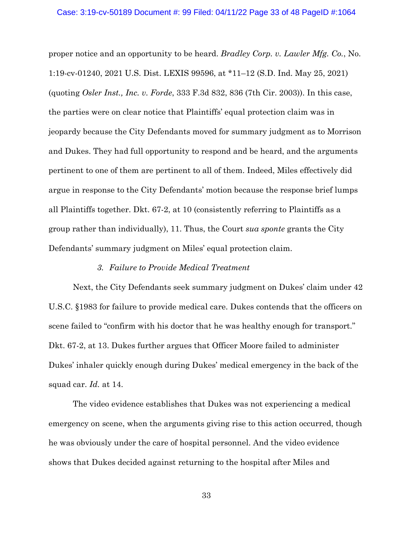proper notice and an opportunity to be heard. *Bradley Corp. v. Lawler Mfg. Co.*, No. 1:19-cv-01240, 2021 U.S. Dist. LEXIS 99596, at \*11–12 (S.D. Ind. May 25, 2021) (quoting *Osler Inst., Inc. v. Forde*, 333 F.3d 832, 836 (7th Cir. 2003)). In this case, the parties were on clear notice that Plaintiffs' equal protection claim was in jeopardy because the City Defendants moved for summary judgment as to Morrison and Dukes. They had full opportunity to respond and be heard, and the arguments pertinent to one of them are pertinent to all of them. Indeed, Miles effectively did argue in response to the City Defendants' motion because the response brief lumps all Plaintiffs together. Dkt. 67-2, at 10 (consistently referring to Plaintiffs as a group rather than individually), 11. Thus, the Court *sua sponte* grants the City Defendants' summary judgment on Miles' equal protection claim.

### *3. Failure to Provide Medical Treatment*

Next, the City Defendants seek summary judgment on Dukes' claim under 42 U.S.C. §1983 for failure to provide medical care. Dukes contends that the officers on scene failed to "confirm with his doctor that he was healthy enough for transport." Dkt. 67-2, at 13. Dukes further argues that Officer Moore failed to administer Dukes' inhaler quickly enough during Dukes' medical emergency in the back of the squad car. *Id.* at 14.

The video evidence establishes that Dukes was not experiencing a medical emergency on scene, when the arguments giving rise to this action occurred, though he was obviously under the care of hospital personnel. And the video evidence shows that Dukes decided against returning to the hospital after Miles and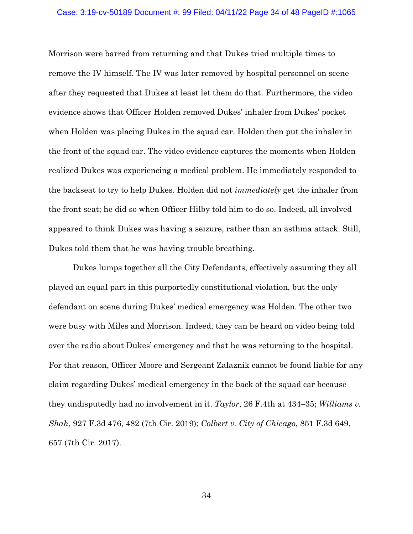#### Case: 3:19-cv-50189 Document #: 99 Filed: 04/11/22 Page 34 of 48 PageID #:1065

Morrison were barred from returning and that Dukes tried multiple times to remove the IV himself. The IV was later removed by hospital personnel on scene after they requested that Dukes at least let them do that. Furthermore, the video evidence shows that Officer Holden removed Dukes' inhaler from Dukes' pocket when Holden was placing Dukes in the squad car. Holden then put the inhaler in the front of the squad car. The video evidence captures the moments when Holden realized Dukes was experiencing a medical problem. He immediately responded to the backseat to try to help Dukes. Holden did not *immediately* get the inhaler from the front seat; he did so when Officer Hilby told him to do so. Indeed, all involved appeared to think Dukes was having a seizure, rather than an asthma attack. Still, Dukes told them that he was having trouble breathing.

Dukes lumps together all the City Defendants, effectively assuming they all played an equal part in this purportedly constitutional violation, but the only defendant on scene during Dukes' medical emergency was Holden. The other two were busy with Miles and Morrison. Indeed, they can be heard on video being told over the radio about Dukes' emergency and that he was returning to the hospital. For that reason, Officer Moore and Sergeant Zalaznik cannot be found liable for any claim regarding Dukes' medical emergency in the back of the squad car because they undisputedly had no involvement in it. *Taylor*, 26 F.4th at 434–35; *Williams v. Shah*, 927 F.3d 476, 482 (7th Cir. 2019); *Colbert v. City of Chicago*, 851 F.3d 649, 657 (7th Cir. 2017).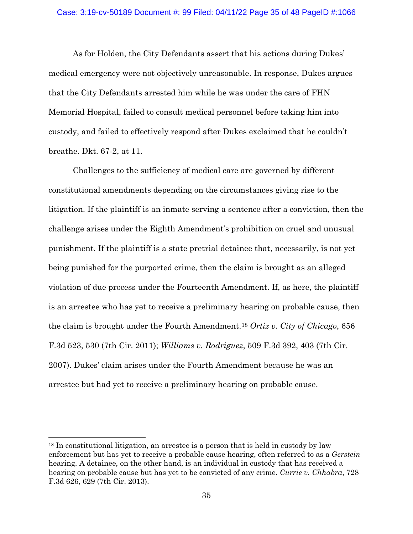As for Holden, the City Defendants assert that his actions during Dukes' medical emergency were not objectively unreasonable. In response, Dukes argues that the City Defendants arrested him while he was under the care of FHN Memorial Hospital, failed to consult medical personnel before taking him into custody, and failed to effectively respond after Dukes exclaimed that he couldn't breathe. Dkt. 67-2, at 11.

Challenges to the sufficiency of medical care are governed by different constitutional amendments depending on the circumstances giving rise to the litigation. If the plaintiff is an inmate serving a sentence after a conviction, then the challenge arises under the Eighth Amendment's prohibition on cruel and unusual punishment. If the plaintiff is a state pretrial detainee that, necessarily, is not yet being punished for the purported crime, then the claim is brought as an alleged violation of due process under the Fourteenth Amendment. If, as here, the plaintiff is an arrestee who has yet to receive a preliminary hearing on probable cause, then the claim is brought under the Fourth Amendment.18 *Ortiz v. City of Chicago*, 656 F.3d 523, 530 (7th Cir. 2011); *Williams v. Rodriguez*, 509 F.3d 392, 403 (7th Cir. 2007). Dukes' claim arises under the Fourth Amendment because he was an arrestee but had yet to receive a preliminary hearing on probable cause.

<sup>&</sup>lt;sup>18</sup> In constitutional litigation, an arrestee is a person that is held in custody by law enforcement but has yet to receive a probable cause hearing, often referred to as a *Gerstein*  hearing. A detainee, on the other hand, is an individual in custody that has received a hearing on probable cause but has yet to be convicted of any crime. *Currie v. Chhabra*, 728 F.3d 626, 629 (7th Cir. 2013).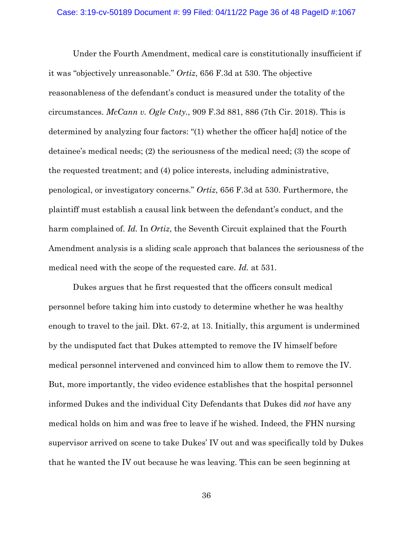#### Case: 3:19-cv-50189 Document #: 99 Filed: 04/11/22 Page 36 of 48 PageID #:1067

Under the Fourth Amendment, medical care is constitutionally insufficient if it was "objectively unreasonable." *Ortiz*, 656 F.3d at 530. The objective reasonableness of the defendant's conduct is measured under the totality of the circumstances. *McCann v. Ogle Cnty.*, 909 F.3d 881, 886 (7th Cir. 2018). This is determined by analyzing four factors: "(1) whether the officer ha[d] notice of the detainee's medical needs; (2) the seriousness of the medical need; (3) the scope of the requested treatment; and (4) police interests, including administrative, penological, or investigatory concerns." *Ortiz*, 656 F.3d at 530. Furthermore, the plaintiff must establish a causal link between the defendant's conduct, and the harm complained of. *Id.* In *Ortiz*, the Seventh Circuit explained that the Fourth Amendment analysis is a sliding scale approach that balances the seriousness of the medical need with the scope of the requested care. *Id.* at 531.

Dukes argues that he first requested that the officers consult medical personnel before taking him into custody to determine whether he was healthy enough to travel to the jail. Dkt. 67-2, at 13. Initially, this argument is undermined by the undisputed fact that Dukes attempted to remove the IV himself before medical personnel intervened and convinced him to allow them to remove the IV. But, more importantly, the video evidence establishes that the hospital personnel informed Dukes and the individual City Defendants that Dukes did *not* have any medical holds on him and was free to leave if he wished. Indeed, the FHN nursing supervisor arrived on scene to take Dukes' IV out and was specifically told by Dukes that he wanted the IV out because he was leaving. This can be seen beginning at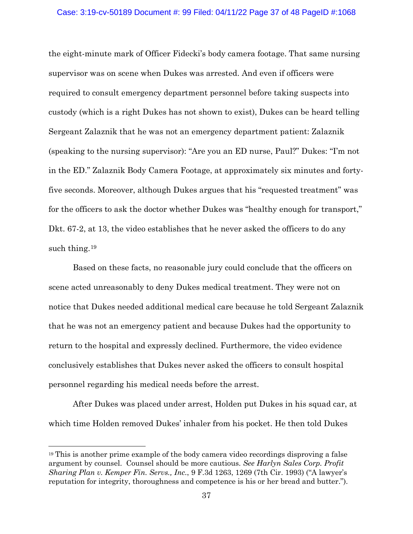### Case: 3:19-cv-50189 Document #: 99 Filed: 04/11/22 Page 37 of 48 PageID #:1068

the eight-minute mark of Officer Fidecki's body camera footage. That same nursing supervisor was on scene when Dukes was arrested. And even if officers were required to consult emergency department personnel before taking suspects into custody (which is a right Dukes has not shown to exist), Dukes can be heard telling Sergeant Zalaznik that he was not an emergency department patient: Zalaznik (speaking to the nursing supervisor): "Are you an ED nurse, Paul?" Dukes: "I'm not in the ED." Zalaznik Body Camera Footage, at approximately six minutes and fortyfive seconds. Moreover, although Dukes argues that his "requested treatment" was for the officers to ask the doctor whether Dukes was "healthy enough for transport," Dkt. 67-2, at 13, the video establishes that he never asked the officers to do any such thing.<sup>19</sup>

Based on these facts, no reasonable jury could conclude that the officers on scene acted unreasonably to deny Dukes medical treatment. They were not on notice that Dukes needed additional medical care because he told Sergeant Zalaznik that he was not an emergency patient and because Dukes had the opportunity to return to the hospital and expressly declined. Furthermore, the video evidence conclusively establishes that Dukes never asked the officers to consult hospital personnel regarding his medical needs before the arrest.

After Dukes was placed under arrest, Holden put Dukes in his squad car, at which time Holden removed Dukes' inhaler from his pocket. He then told Dukes

<sup>19</sup> This is another prime example of the body camera video recordings disproving a false argument by counsel. Counsel should be more cautious. *See Harlyn Sales Corp. Profit Sharing Plan v. Kemper Fin. Servs., Inc.*, 9 F.3d 1263, 1269 (7th Cir. 1993) ("A lawyer's reputation for integrity, thoroughness and competence is his or her bread and butter.").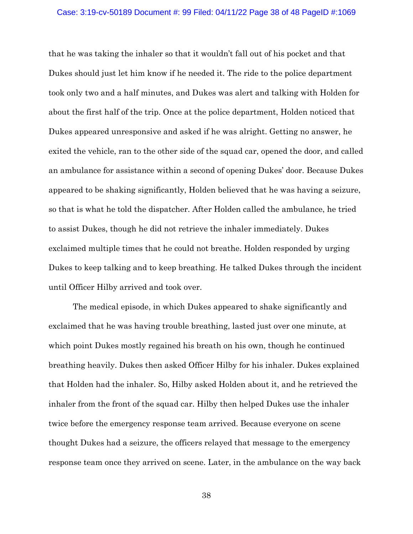#### Case: 3:19-cv-50189 Document #: 99 Filed: 04/11/22 Page 38 of 48 PageID #:1069

that he was taking the inhaler so that it wouldn't fall out of his pocket and that Dukes should just let him know if he needed it. The ride to the police department took only two and a half minutes, and Dukes was alert and talking with Holden for about the first half of the trip. Once at the police department, Holden noticed that Dukes appeared unresponsive and asked if he was alright. Getting no answer, he exited the vehicle, ran to the other side of the squad car, opened the door, and called an ambulance for assistance within a second of opening Dukes' door. Because Dukes appeared to be shaking significantly, Holden believed that he was having a seizure, so that is what he told the dispatcher. After Holden called the ambulance, he tried to assist Dukes, though he did not retrieve the inhaler immediately. Dukes exclaimed multiple times that he could not breathe. Holden responded by urging Dukes to keep talking and to keep breathing. He talked Dukes through the incident until Officer Hilby arrived and took over.

The medical episode, in which Dukes appeared to shake significantly and exclaimed that he was having trouble breathing, lasted just over one minute, at which point Dukes mostly regained his breath on his own, though he continued breathing heavily. Dukes then asked Officer Hilby for his inhaler. Dukes explained that Holden had the inhaler. So, Hilby asked Holden about it, and he retrieved the inhaler from the front of the squad car. Hilby then helped Dukes use the inhaler twice before the emergency response team arrived. Because everyone on scene thought Dukes had a seizure, the officers relayed that message to the emergency response team once they arrived on scene. Later, in the ambulance on the way back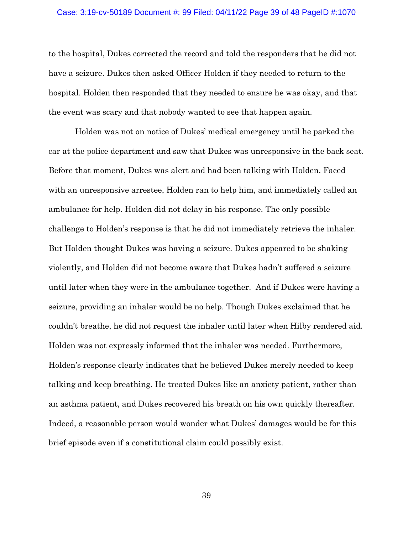#### Case: 3:19-cv-50189 Document #: 99 Filed: 04/11/22 Page 39 of 48 PageID #:1070

to the hospital, Dukes corrected the record and told the responders that he did not have a seizure. Dukes then asked Officer Holden if they needed to return to the hospital. Holden then responded that they needed to ensure he was okay, and that the event was scary and that nobody wanted to see that happen again.

Holden was not on notice of Dukes' medical emergency until he parked the car at the police department and saw that Dukes was unresponsive in the back seat. Before that moment, Dukes was alert and had been talking with Holden. Faced with an unresponsive arrestee, Holden ran to help him, and immediately called an ambulance for help. Holden did not delay in his response. The only possible challenge to Holden's response is that he did not immediately retrieve the inhaler. But Holden thought Dukes was having a seizure. Dukes appeared to be shaking violently, and Holden did not become aware that Dukes hadn't suffered a seizure until later when they were in the ambulance together. And if Dukes were having a seizure, providing an inhaler would be no help. Though Dukes exclaimed that he couldn't breathe, he did not request the inhaler until later when Hilby rendered aid. Holden was not expressly informed that the inhaler was needed. Furthermore, Holden's response clearly indicates that he believed Dukes merely needed to keep talking and keep breathing. He treated Dukes like an anxiety patient, rather than an asthma patient, and Dukes recovered his breath on his own quickly thereafter. Indeed, a reasonable person would wonder what Dukes' damages would be for this brief episode even if a constitutional claim could possibly exist.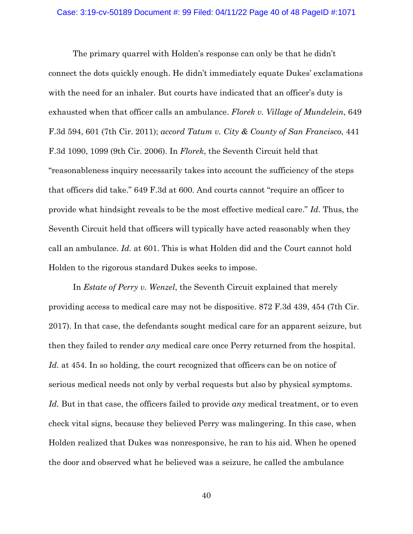The primary quarrel with Holden's response can only be that he didn't connect the dots quickly enough. He didn't immediately equate Dukes' exclamations with the need for an inhaler. But courts have indicated that an officer's duty is exhausted when that officer calls an ambulance. *Florek v. Village of Mundelein*, 649 F.3d 594, 601 (7th Cir. 2011); *accord Tatum v. City & County of San Francisco*, 441 F.3d 1090, 1099 (9th Cir. 2006). In *Florek*, the Seventh Circuit held that "reasonableness inquiry necessarily takes into account the sufficiency of the steps that officers did take." 649 F.3d at 600. And courts cannot "require an officer to provide what hindsight reveals to be the most effective medical care." *Id.* Thus, the Seventh Circuit held that officers will typically have acted reasonably when they call an ambulance. *Id.* at 601. This is what Holden did and the Court cannot hold Holden to the rigorous standard Dukes seeks to impose.

In *Estate of Perry v. Wenzel*, the Seventh Circuit explained that merely providing access to medical care may not be dispositive. 872 F.3d 439, 454 (7th Cir. 2017). In that case, the defendants sought medical care for an apparent seizure, but then they failed to render *any* medical care once Perry returned from the hospital. Id. at 454. In so holding, the court recognized that officers can be on notice of serious medical needs not only by verbal requests but also by physical symptoms. *Id.* But in that case, the officers failed to provide *any* medical treatment, or to even check vital signs, because they believed Perry was malingering. In this case, when Holden realized that Dukes was nonresponsive, he ran to his aid. When he opened the door and observed what he believed was a seizure, he called the ambulance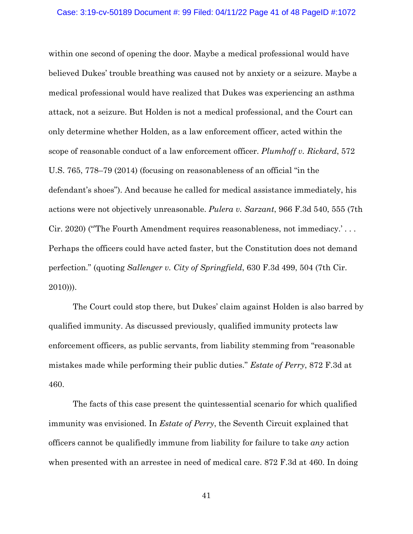within one second of opening the door. Maybe a medical professional would have believed Dukes' trouble breathing was caused not by anxiety or a seizure. Maybe a medical professional would have realized that Dukes was experiencing an asthma attack, not a seizure. But Holden is not a medical professional, and the Court can only determine whether Holden, as a law enforcement officer, acted within the scope of reasonable conduct of a law enforcement officer. *Plumhoff v. Rickard*, 572 U.S. 765, 778–79 (2014) (focusing on reasonableness of an official "in the defendant's shoes"). And because he called for medical assistance immediately, his actions were not objectively unreasonable. *Pulera v. Sarzant*, 966 F.3d 540, 555 (7th Cir. 2020) ("'The Fourth Amendment requires reasonableness, not immediacy.' . . . Perhaps the officers could have acted faster, but the Constitution does not demand perfection." (quoting *Sallenger v. City of Springfield*, 630 F.3d 499, 504 (7th Cir. 2010))).

The Court could stop there, but Dukes' claim against Holden is also barred by qualified immunity. As discussed previously, qualified immunity protects law enforcement officers, as public servants, from liability stemming from "reasonable mistakes made while performing their public duties." *Estate of Perry*, 872 F.3d at 460.

The facts of this case present the quintessential scenario for which qualified immunity was envisioned. In *Estate of Perry*, the Seventh Circuit explained that officers cannot be qualifiedly immune from liability for failure to take *any* action when presented with an arrestee in need of medical care. 872 F.3d at 460. In doing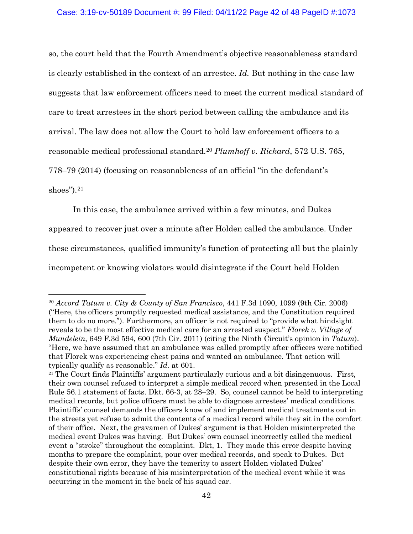so, the court held that the Fourth Amendment's objective reasonableness standard is clearly established in the context of an arrestee. *Id.* But nothing in the case law suggests that law enforcement officers need to meet the current medical standard of care to treat arrestees in the short period between calling the ambulance and its arrival. The law does not allow the Court to hold law enforcement officers to a reasonable medical professional standard.20 *Plumhoff v. Rickard*, 572 U.S. 765, 778–79 (2014) (focusing on reasonableness of an official "in the defendant's shoes"). $21$ 

In this case, the ambulance arrived within a few minutes, and Dukes appeared to recover just over a minute after Holden called the ambulance. Under these circumstances, qualified immunity's function of protecting all but the plainly incompetent or knowing violators would disintegrate if the Court held Holden

<sup>20</sup> *Accord Tatum v. City & County of San Francisco*, 441 F.3d 1090, 1099 (9th Cir. 2006) ("Here, the officers promptly requested medical assistance, and the Constitution required them to do no more."). Furthermore, an officer is not required to "provide what hindsight reveals to be the most effective medical care for an arrested suspect." *Florek v. Village of Mundelein*, 649 F.3d 594, 600 (7th Cir. 2011) (citing the Ninth Circuit's opinion in *Tatum*). "Here, we have assumed that an ambulance was called promptly after officers were notified that Florek was experiencing chest pains and wanted an ambulance. That action will

typically qualify as reasonable." *Id.* at 601.<br><sup>21</sup> The Court finds Plaintiffs' argument particularly curious and a bit disingenuous. First, their own counsel refused to interpret a simple medical record when presented in the Local Rule 56.1 statement of facts. Dkt. 66-3, at 28–29. So, counsel cannot be held to interpreting medical records, but police officers must be able to diagnose arrestees' medical conditions. Plaintiffs' counsel demands the officers know of and implement medical treatments out in the streets yet refuse to admit the contents of a medical record while they sit in the comfort of their office. Next, the gravamen of Dukes' argument is that Holden misinterpreted the medical event Dukes was having. But Dukes' own counsel incorrectly called the medical event a "stroke" throughout the complaint. Dkt, 1. They made this error despite having months to prepare the complaint, pour over medical records, and speak to Dukes. But despite their own error, they have the temerity to assert Holden violated Dukes' constitutional rights because of his misinterpretation of the medical event while it was occurring in the moment in the back of his squad car.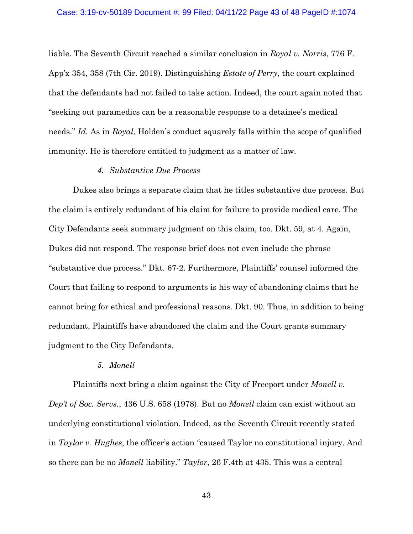liable. The Seventh Circuit reached a similar conclusion in *Royal v. Norris*, 776 F. App'x 354, 358 (7th Cir. 2019). Distinguishing *Estate of Perry*, the court explained that the defendants had not failed to take action. Indeed, the court again noted that "seeking out paramedics can be a reasonable response to a detainee's medical needs." *Id.* As in *Royal*, Holden's conduct squarely falls within the scope of qualified immunity. He is therefore entitled to judgment as a matter of law.

## *4. Substantive Due Process*

Dukes also brings a separate claim that he titles substantive due process. But the claim is entirely redundant of his claim for failure to provide medical care. The City Defendants seek summary judgment on this claim, too. Dkt. 59, at 4. Again, Dukes did not respond. The response brief does not even include the phrase "substantive due process." Dkt. 67-2. Furthermore, Plaintiffs' counsel informed the Court that failing to respond to arguments is his way of abandoning claims that he cannot bring for ethical and professional reasons. Dkt. 90. Thus, in addition to being redundant, Plaintiffs have abandoned the claim and the Court grants summary judgment to the City Defendants.

## *5. Monell*

Plaintiffs next bring a claim against the City of Freeport under *Monell v. Dep't of Soc. Servs.*, 436 U.S. 658 (1978). But no *Monell* claim can exist without an underlying constitutional violation. Indeed, as the Seventh Circuit recently stated in *Taylor v. Hughes*, the officer's action "caused Taylor no constitutional injury. And so there can be no *Monell* liability." *Taylor*, 26 F.4th at 435. This was a central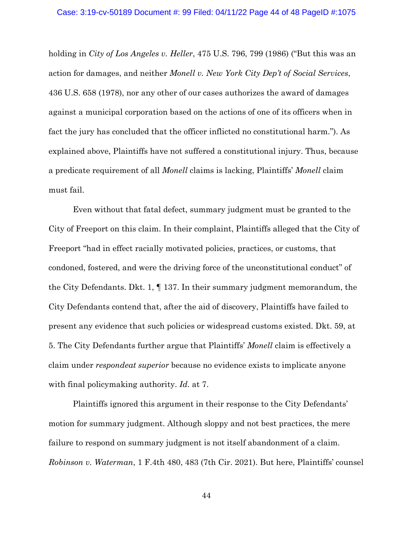holding in *City of Los Angeles v. Heller*, 475 U.S. 796, 799 (1986) ("But this was an action for damages, and neither *Monell v. New York City Dep't of Social Services*, 436 U.S. 658 (1978), nor any other of our cases authorizes the award of damages against a municipal corporation based on the actions of one of its officers when in fact the jury has concluded that the officer inflicted no constitutional harm."). As explained above, Plaintiffs have not suffered a constitutional injury. Thus, because a predicate requirement of all *Monell* claims is lacking, Plaintiffs' *Monell* claim must fail.

Even without that fatal defect, summary judgment must be granted to the City of Freeport on this claim. In their complaint, Plaintiffs alleged that the City of Freeport "had in effect racially motivated policies, practices, or customs, that condoned, fostered, and were the driving force of the unconstitutional conduct" of the City Defendants. Dkt. 1, ¶ 137. In their summary judgment memorandum, the City Defendants contend that, after the aid of discovery, Plaintiffs have failed to present any evidence that such policies or widespread customs existed. Dkt. 59, at 5. The City Defendants further argue that Plaintiffs' *Monell* claim is effectively a claim under *respondeat superior* because no evidence exists to implicate anyone with final policymaking authority. *Id.* at 7.

Plaintiffs ignored this argument in their response to the City Defendants' motion for summary judgment. Although sloppy and not best practices, the mere failure to respond on summary judgment is not itself abandonment of a claim. *Robinson v. Waterman*, 1 F.4th 480, 483 (7th Cir. 2021). But here, Plaintiffs' counsel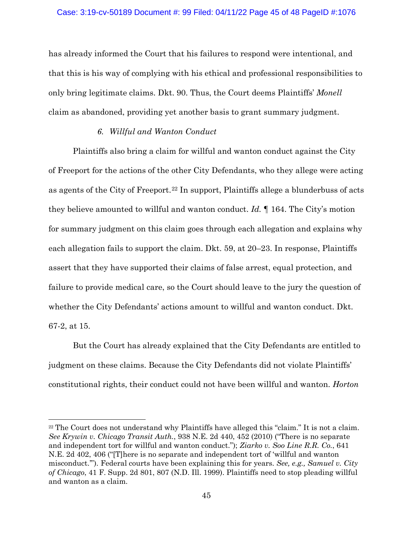has already informed the Court that his failures to respond were intentional, and that this is his way of complying with his ethical and professional responsibilities to only bring legitimate claims. Dkt. 90. Thus, the Court deems Plaintiffs' *Monell* claim as abandoned, providing yet another basis to grant summary judgment.

### *6. Willful and Wanton Conduct*

Plaintiffs also bring a claim for willful and wanton conduct against the City of Freeport for the actions of the other City Defendants, who they allege were acting as agents of the City of Freeport.22 In support, Plaintiffs allege a blunderbuss of acts they believe amounted to willful and wanton conduct. *Id.* ¶ 164. The City's motion for summary judgment on this claim goes through each allegation and explains why each allegation fails to support the claim. Dkt. 59, at 20–23. In response, Plaintiffs assert that they have supported their claims of false arrest, equal protection, and failure to provide medical care, so the Court should leave to the jury the question of whether the City Defendants' actions amount to willful and wanton conduct. Dkt. 67-2, at 15.

But the Court has already explained that the City Defendants are entitled to judgment on these claims. Because the City Defendants did not violate Plaintiffs' constitutional rights, their conduct could not have been willful and wanton. *Horton* 

<sup>&</sup>lt;sup>22</sup> The Court does not understand why Plaintiffs have alleged this "claim." It is not a claim. *See Krywin v. Chicago Transit Auth.*, 938 N.E. 2d 440, 452 (2010) ("There is no separate and independent tort for willful and wanton conduct."); *Ziarko v. Soo Line R.R. Co.*, 641 N.E. 2d 402, 406 ("[T]here is no separate and independent tort of 'willful and wanton misconduct.'"). Federal courts have been explaining this for years. *See, e.g., Samuel v. City of Chicago*, 41 F. Supp. 2d 801, 807 (N.D. Ill. 1999). Plaintiffs need to stop pleading willful and wanton as a claim.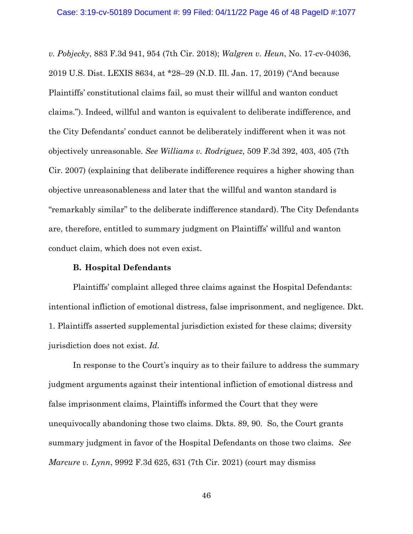*v. Pobjecky*, 883 F.3d 941, 954 (7th Cir. 2018); *Walgren v. Heun*, No. 17-cv-04036, 2019 U.S. Dist. LEXIS 8634, at \*28–29 (N.D. Ill. Jan. 17, 2019) ("And because Plaintiffs' constitutional claims fail, so must their willful and wanton conduct claims."). Indeed, willful and wanton is equivalent to deliberate indifference, and the City Defendants' conduct cannot be deliberately indifferent when it was not objectively unreasonable. *See Williams v. Rodriguez*, 509 F.3d 392, 403, 405 (7th Cir. 2007) (explaining that deliberate indifference requires a higher showing than objective unreasonableness and later that the willful and wanton standard is "remarkably similar" to the deliberate indifference standard). The City Defendants are, therefore, entitled to summary judgment on Plaintiffs' willful and wanton conduct claim, which does not even exist.

### **B. Hospital Defendants**

Plaintiffs' complaint alleged three claims against the Hospital Defendants: intentional infliction of emotional distress, false imprisonment, and negligence. Dkt. 1. Plaintiffs asserted supplemental jurisdiction existed for these claims; diversity jurisdiction does not exist. *Id.*

In response to the Court's inquiry as to their failure to address the summary judgment arguments against their intentional infliction of emotional distress and false imprisonment claims, Plaintiffs informed the Court that they were unequivocally abandoning those two claims. Dkts. 89, 90. So, the Court grants summary judgment in favor of the Hospital Defendants on those two claims. *See Marcure v. Lynn*, 9992 F.3d 625, 631 (7th Cir. 2021) (court may dismiss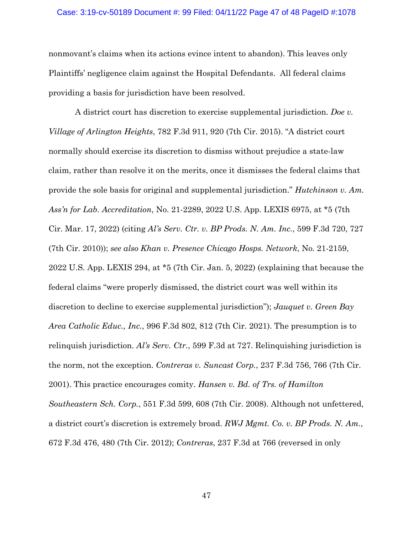#### Case: 3:19-cv-50189 Document #: 99 Filed: 04/11/22 Page 47 of 48 PageID #:1078

nonmovant's claims when its actions evince intent to abandon). This leaves only Plaintiffs' negligence claim against the Hospital Defendants. All federal claims providing a basis for jurisdiction have been resolved.

A district court has discretion to exercise supplemental jurisdiction. *Doe v. Village of Arlington Heights*, 782 F.3d 911, 920 (7th Cir. 2015). "A district court normally should exercise its discretion to dismiss without prejudice a state-law claim, rather than resolve it on the merits, once it dismisses the federal claims that provide the sole basis for original and supplemental jurisdiction." *Hutchinson v. Am. Ass'n for Lab. Accreditation*, No. 21-2289, 2022 U.S. App. LEXIS 6975, at \*5 (7th Cir. Mar. 17, 2022) (citing *Al's Serv. Ctr. v. BP Prods. N. Am. Inc.*, 599 F.3d 720, 727 (7th Cir. 2010)); *see also Khan v. Presence Chicago Hosps. Network*, No. 21-2159, 2022 U.S. App. LEXIS 294, at \*5 (7th Cir. Jan. 5, 2022) (explaining that because the federal claims "were properly dismissed, the district court was well within its discretion to decline to exercise supplemental jurisdiction"); *Jauquet v. Green Bay Area Catholic Educ., Inc.*, 996 F.3d 802, 812 (7th Cir. 2021). The presumption is to relinquish jurisdiction. *Al's Serv. Ctr.*, 599 F.3d at 727. Relinquishing jurisdiction is the norm, not the exception. *Contreras v. Suncast Corp.*, 237 F.3d 756, 766 (7th Cir. 2001). This practice encourages comity. *Hansen v. Bd. of Trs. of Hamilton Southeastern Sch. Corp.*, 551 F.3d 599, 608 (7th Cir. 2008). Although not unfettered, a district court's discretion is extremely broad. *RWJ Mgmt. Co. v. BP Prods. N. Am.*, 672 F.3d 476, 480 (7th Cir. 2012); *Contreras*, 237 F.3d at 766 (reversed in only